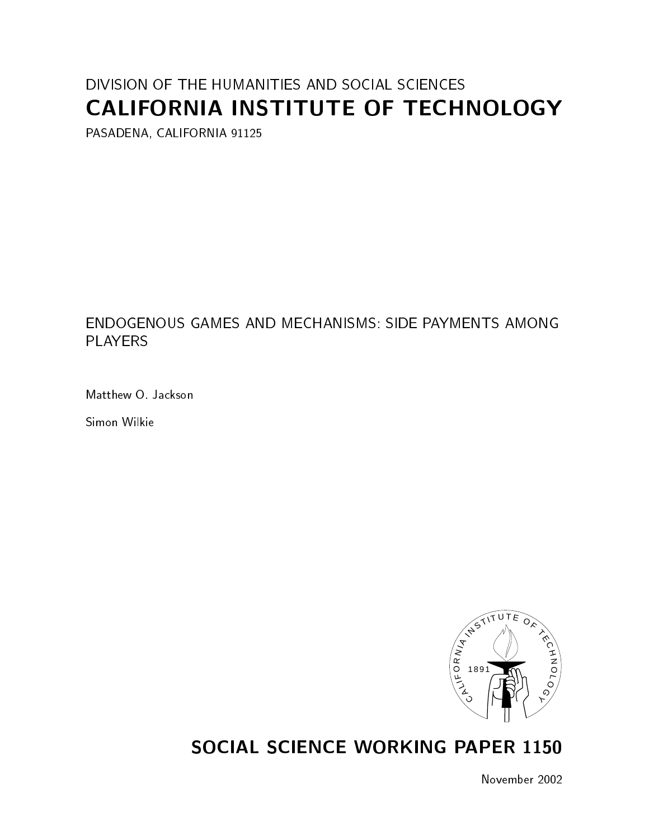# DIVISION OF THE HUMANITIES AND SOCIAL SCIENCES CALIFORNIA INSTITUTE OF TECHNOLOGY

PASADENA, CALIFORNIA 91125

# ENDOGENOUS GAMES AND MECHANISMS: SIDE PAYMENTS AMONG **PLAYERS**

Matthew O. Jackson

Simon Wilkie



# SOCIAL SCIENCE WORKING PAPER 1150

November 2002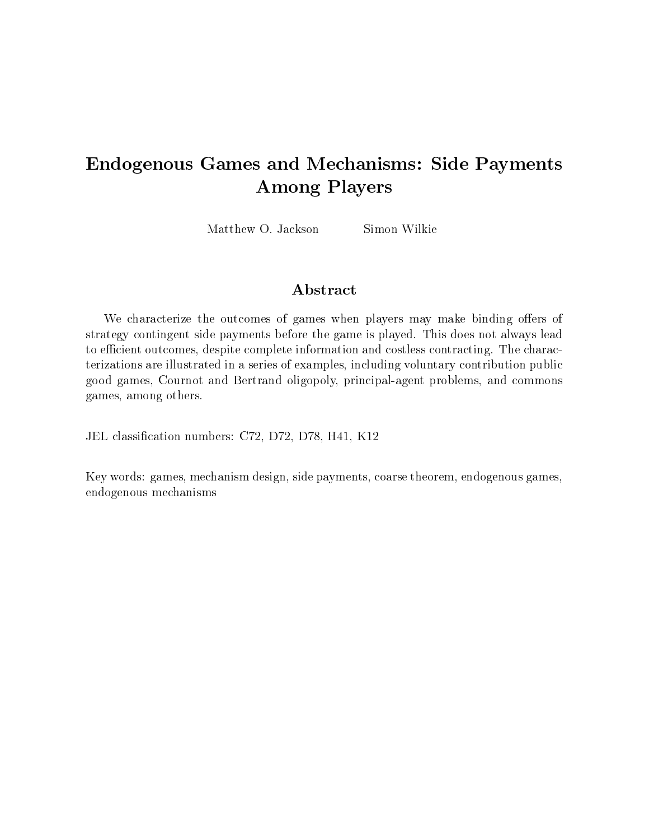# Endogenous Games and Mechanisms: Side Payments Among Players

Matthew O. Jackson Simon Wilkie

We characterize the outcomes of games when players may make binding offers of strategy contingent side payments before the game is played. This does not always lead to efficient outcomes, despite complete information and costless contracting. The characterizations are illustrated in a series of examples, including voluntary contribution public good games, Cournot and Bertrand oligopoly, principal-agent problems, and commons games, among others.

JEL classication numbers: C72, D72, D78, H41, K12

Key words: games, mechanism design, side payments, coarse theorem, endogenous games, endogenous mechanisms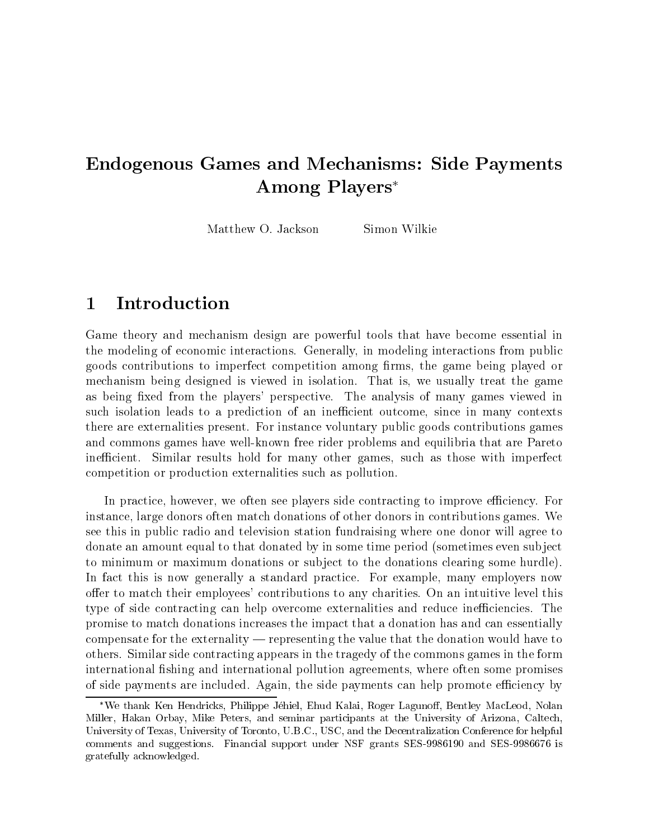# Endogenous Games and Mechanisms: Side Payments Among Players

Simon Wilkie Matthew O. Jackson

#### **Introduction**  $\mathbf{1}$

Game theory and mechanism design are powerful tools that have become essential in the modeling of economic interactions. Generally, in modeling interactions from public goods contributions to imperfect competition among firms, the game being played or mechanism being designed is viewed in isolation. That is, we usually treat the game as being fixed from the players' perspective. The analysis of many games viewed in such isolation leads to a prediction of an inefficient outcome, since in many contexts there are externalities present. For instance voluntary public goods contributions games and commons games have well-known free rider problems and equilibria that are Pareto inefficient. Similar results hold for many other games, such as those with imperfect competition or production externalities such as pollution.

In practice, however, we often see players side contracting to improve efficiency. For instance, large donors often match donations of other donors in contributions games. We see this in public radio and television station fundraising where one donor will agree to donate an amount equal to that donated by in some time period (sometimes even subject to minimum or maximum donations or sub ject to the donations clearing some hurdle). In fact this is now generally a standard practice. For example, many employers now offer to match their employees' contributions to any charities. On an intuitive level this type of side contracting can help overcome externalities and reduce inefficiencies. The promise to match donations increases the impact that a donation has and can essentially compensate for the externality  $-$  representing the value that the donation would have to others. Similar side contracting appears in the tragedy of the commons games in the form international fishing and international pollution agreements, where often some promises of side payments are included. Again, the side payments can help promote efficiency by

<sup>\*</sup>We thank Ken Hendricks, Philippe Jéhiel, Ehud Kalai, Roger Lagunoff, Bentley MacLeod, Nolan Miller, Hakan Orbay, Mike Peters, and seminar participants at the University of Arizona, Caltech, University of Texas, University of Toronto, U.B.C., USC, and the Decentralization Conference for helpful comments and suggestions. Financial support under NSF grants SES-9986190 and SES-9986676 is gratefully acknowledged.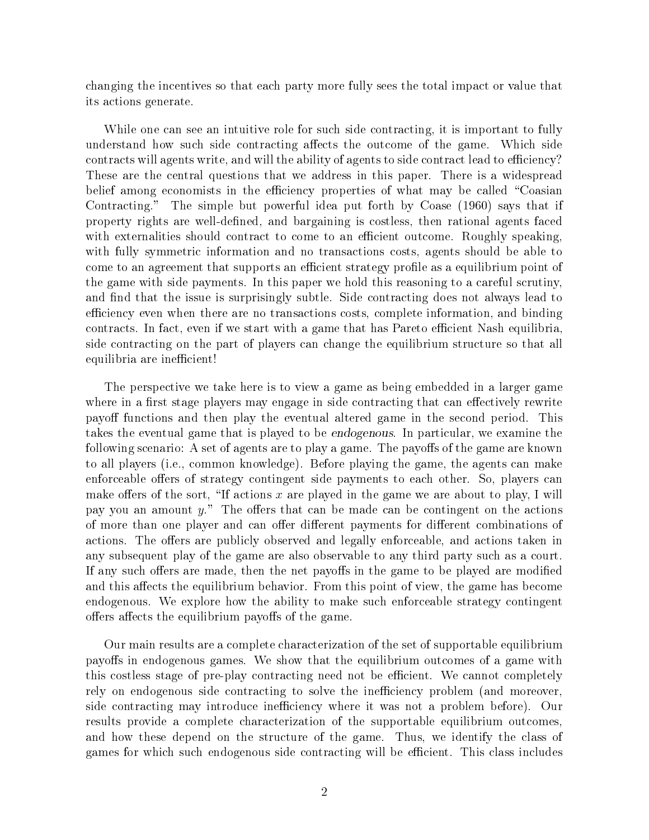changing the incentives so that each party more fully sees the total impact or value that its actions generate.

While one can see an intuitive role for such side contracting, it is important to fully understand how such side contracting affects the outcome of the game. Which side contracts will agents write, and will the ability of agents to side contract lead to efficiency? These are the central questions that we address in this paper. There is a widespread belief among economists in the efficiency properties of what may be called "Coasian Contracting." The simple but powerful idea put forth by Coase (1960) says that if property rights are well-defined, and bargaining is costless, then rational agents faced with externalities should contract to come to an efficient outcome. Roughly speaking, with fully symmetric information and no transactions costs, agents should be able to come to an agreement that supports an efficient strategy profile as a equilibrium point of the game with side payments. In this paper we hold this reasoning to a careful scrutiny, and find that the issue is surprisingly subtle. Side contracting does not always lead to efficiency even when there are no transactions costs, complete information, and binding contracts. In fact, even if we start with a game that has Pareto efficient Nash equilibria, side contracting on the part of players can change the equilibrium structure so that all equilibria are inefficient!

The perspective we take here is to view a game as being embedded in a larger game where in a first stage players may engage in side contracting that can effectively rewrite payoff functions and then play the eventual altered game in the second period. This takes the eventual game that is played to be endogenous. In particular, we examine the following scenario: A set of agents are to play a game. The payoffs of the game are known to all players (i.e., common knowledge). Before playing the game, the agents can make enforceable offers of strategy contingent side payments to each other. So, players can make offers of the sort, "If actions x are played in the game we are about to play, I will pay you an amount  $y$ ." The offers that can be made can be contingent on the actions of more than one player and can offer different payments for different combinations of actions. The offers are publicly observed and legally enforceable, and actions taken in any subsequent play of the game are also observable to any third party such as a court. If any such offers are made, then the net payoffs in the game to be played are modified and this affects the equilibrium behavior. From this point of view, the game has become endogenous. We explore how the ability to make such enforceable strategy contingent offers affects the equilibrium payoffs of the game.

Our main results are a complete characterization of the set of supportable equilibrium payoffs in endogenous games. We show that the equilibrium outcomes of a game with this costless stage of pre-play contracting need not be efficient. We cannot completely rely on endogenous side contracting to solve the inefficiency problem (and moreover, side contracting may introduce inefficiency where it was not a problem before). Our results provide a complete characterization of the supportable equilibrium outcomes, and how these depend on the structure of the game. Thus, we identify the class of games for which such endogenous side contracting will be efficient. This class includes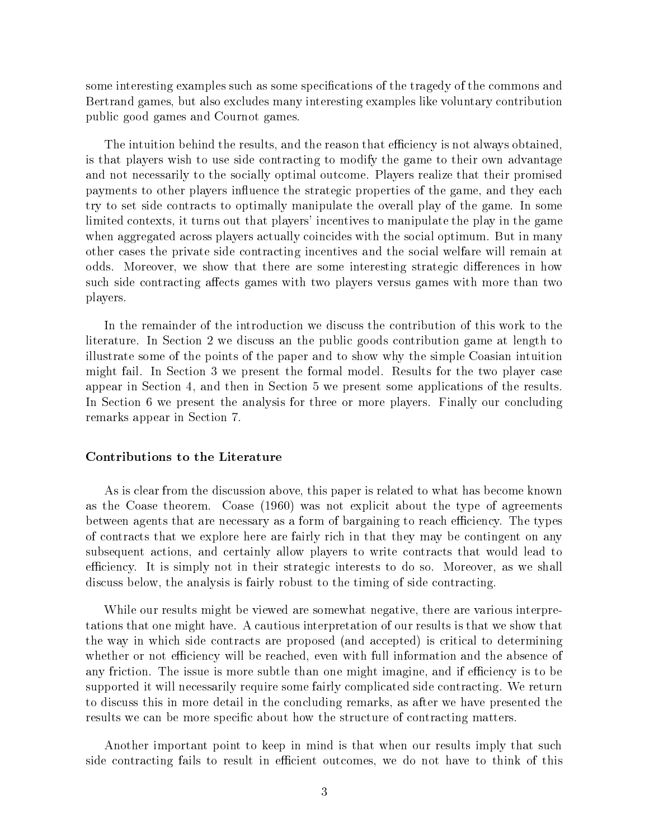some interesting examples such as some specications of the tragedy of the commons and Bertrand games, but also excludes many interesting examples like voluntary contribution public good games and Cournot games.

The intuition behind the results, and the reason that efficiency is not always obtained, is that players wish to use side contracting to modify the game to their own advantage and not necessarily to the socially optimal outcome. Players realize that their promised payments to other players influence the strategic properties of the game, and they each try to set side contracts to optimally manipulate the overall play of the game. In some limited contexts, it turns out that players' incentives to manipulate the play in the game when aggregated across players actually coincides with the social optimum. But in many other cases the private side contracting incentives and the social welfare will remain at odds. Moreover, we show that there are some interesting strategic differences in how such side contracting affects games with two players versus games with more than two players.

In the remainder of the introduction we discuss the contribution of this work to the literature. In Section 2 we discuss an the public goods contribution game at length to illustrate some of the points of the paper and to show why the simple Coasian intuition might fail. In Section 3 we present the formal model. Results for the two player case appear in Section 4, and then in Section 5 we present some applications of the results. In Section 6 we present the analysis for three or more players. Finally our concluding remarks appear in Section 7.

#### **Contributions to the Literature**

As is clear from the discussion above, this paper is related to what has become known as the Coase theorem. Coase (1960) was not explicit about the type of agreements between agents that are necessary as a form of bargaining to reach efficiency. The types of contracts that we explore here are fairly rich in that they may be contingent on any subsequent actions, and certainly allow players to write contracts that would lead to efficiency. It is simply not in their strategic interests to do so. Moreover, as we shall discuss below, the analysis is fairly robust to the timing of side contracting.

While our results might be viewed are somewhat negative, there are various interpretations that one might have. A cautious interpretation of our results is that we show that the way in which side contracts are proposed (and accepted) is critical to determining whether or not efficiency will be reached, even with full information and the absence of any friction. The issue is more subtle than one might imagine, and if efficiency is to be supported it will necessarily require some fairly complicated side contracting. We return to discuss this in more detail in the concluding remarks, as after we have presented the results we can be more specic about how the structure of contracting matters.

Another important point to keep in mind is that when our results imply that such side contracting fails to result in efficient outcomes, we do not have to think of this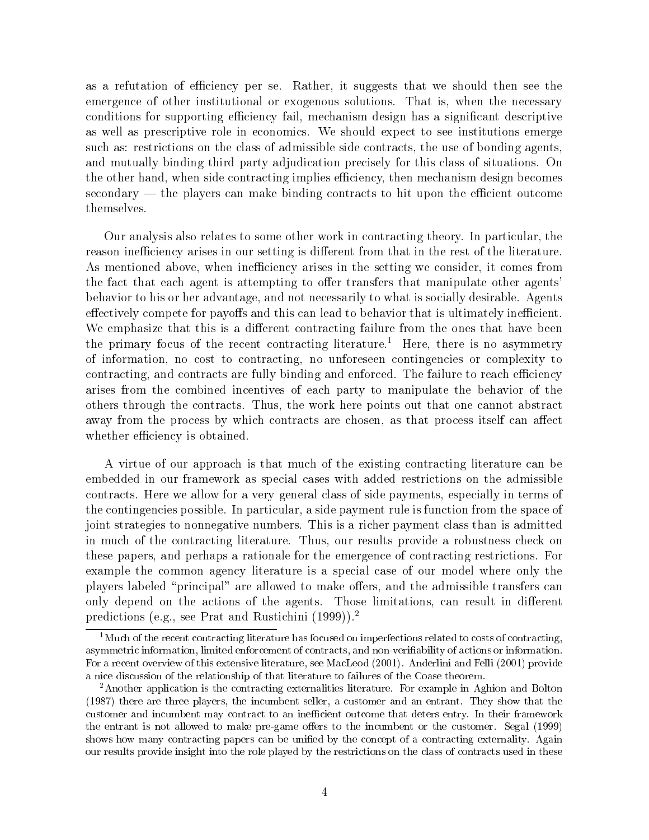as a refutation of efficiency per se. Rather, it suggests that we should then see the emergence of other institutional or exogenous solutions. That is, when the necessary conditions for supporting efficiency fail, mechanism design has a significant descriptive as well as prescriptive role in economics. We should expect to see institutions emerge such as: restrictions on the class of admissible side contracts, the use of bonding agents, and mutually binding third party adjudication precisely for this class of situations. On the other hand, when side contracting implies efficiency, then mechanism design becomes  $\alpha$  secondary  $\alpha$  the players can make binding contracts to hit upon the efficient outcome themselves.

Our analysis also relates to some other work in contracting theory. In particular, the reason inefficiency arises in our setting is different from that in the rest of the literature. As mentioned above, when inefficiency arises in the setting we consider, it comes from the fact that each agent is attempting to offer transfers that manipulate other agents' behavior to his or her advantage, and not necessarily to what is socially desirable. Agents effectively compete for payoffs and this can lead to behavior that is ultimately inefficient. We emphasize that this is a different contracting failure from the ones that have been the primary focus of the recent contracting literature.<sup>1</sup> Here, there is no asymmetry of information, no cost to contracting, no unforeseen contingencies or complexity to contracting, and contracts are fully binding and enforced. The failure to reach efficiency arises from the combined incentives of each party to manipulate the behavior of the others through the contracts. Thus, the work here points out that one cannot abstract away from the process by which contracts are chosen, as that process itself can affect whether efficiency is obtained.

A virtue of our approach is that much of the existing contracting literature can be embedded in our framework as special cases with added restrictions on the admissible contracts. Here we allow for a very general class of side payments, especially in terms of the contingencies possible. In particular, a side payment rule is function from the space of joint strategies to nonnegative numbers. This is a richer payment class than is admitted in much of the contracting literature. Thus, our results provide a robustness check on these papers, and perhaps a rationale for the emergence of contracting restrictions. For example the common agency literature is a special case of our model where only the players labeled "principal" are allowed to make offers, and the admissible transfers can only depend on the actions of the agents. Those limitations, can result in different predictions (e.g., see Prat and Rustichini (1999)).<sup>2</sup>

<sup>&</sup>lt;sup>1</sup>Much of the recent contracting literature has focused on imperfections related to costs of contracting, asymmetric information, limited enforcement of contracts, and non-veriability of actions or information. For a recent overview of this extensive literature, see MacLeod (2001). Anderlini and Felli (2001) provide a nice discussion of the relationship of that literature to failures of the Coase theorem.

<sup>2</sup>Another application is the contracting externalities literature. For example in Aghion and Bolton (1987) there are three players, the incumbent seller, a customer and an entrant. They show that the customer and incumbent may contract to an inefficient outcome that deters entry. In their framework the entrant is not allowed to make pre-game offers to the incumbent or the customer. Segal (1999) shows how many contracting papers can be unified by the concept of a contracting externality. Again our results provide insight into the role played by the restrictions on the class of contracts used in these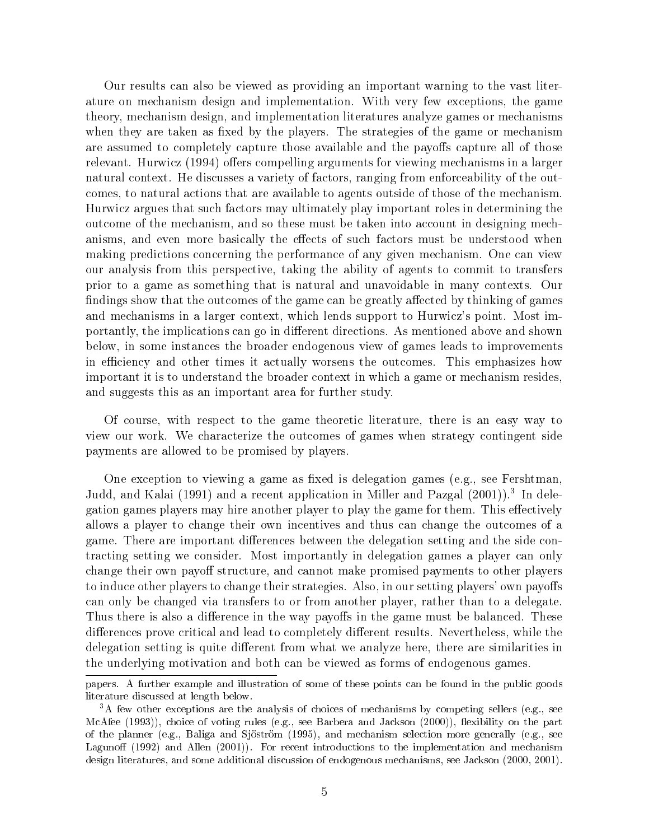Our results can also be viewed as providing an important warning to the vast literature on mechanism design and implementation. With very few exceptions, the game theory, mechanism design, and implementation literatures analyze games or mechanisms when they are taken as fixed by the players. The strategies of the game or mechanism are assumed to completely capture those available and the payoffs capture all of those relevant. Hurwicz (1994) offers compelling arguments for viewing mechanisms in a larger natural context. He discusses a variety of factors, ranging from enforceability of the outcomes, to natural actions that are available to agents outside of those of the mechanism. Hurwicz argues that such factors may ultimately play important roles in determining the outcome of the mechanism, and so these must be taken into account in designing mechanisms, and even more basically the effects of such factors must be understood when making predictions concerning the performance of any given mechanism. One can view our analysis from this perspective, taking the ability of agents to commit to transfers prior to a game as something that is natural and unavoidable in many contexts. Our findings show that the outcomes of the game can be greatly affected by thinking of games and mechanisms in a larger context, which lends support to Hurwicz's point. Most importantly, the implications can go in dierent directions. As mentioned above and shown below, in some instances the broader endogenous view of games leads to improvements in efficiency and other times it actually worsens the outcomes. This emphasizes how important it is to understand the broader context in which a game or mechanism resides, and suggests this as an important area for further study.

Of course, with respect to the game theoretic literature, there is an easy way to view our work. We characterize the outcomes of games when strategy contingent side payments are allowed to be promised by players.

One exception to viewing a game as fixed is delegation games (e.g., see Fershtman, Judd, and Kalai (1991) and a recent application in Miller and Pazgal (2001)).3 In delegation games players may hire another player to play the game for them. This effectively allows a player to change their own incentives and thus can change the outcomes of a game. There are important differences between the delegation setting and the side contracting setting we consider. Most importantly in delegation games a player can only change their own payoff structure, and cannot make promised payments to other players to induce other players to change their strategies. Also, in our setting players' own payoffs can only be changed via transfers to or from another player, rather than to a delegate. Thus there is also a difference in the way payoffs in the game must be balanced. These differences prove critical and lead to completely different results. Nevertheless, while the delegation setting is quite different from what we analyze here, there are similarities in the underlying motivation and both can be viewed asforms of endogenous games.

papers. A further example and illustration of some of these points can be found in the public goods literature discussed at length below.

<sup>&</sup>lt;sup>3</sup>A few other exceptions are the analysis of choices of mechanisms by competing sellers (e.g., see McAfee (1993)), choice of voting rules (e.g., see Barbera and Jackson (2000)), flexibility on the part of the planner (e.g., Baliga and Sjostrom (1995), and mechanism selection more generally (e.g., see Lagunoff (1992) and Allen (2001)). For recent introductions to the implementation and mechanism design literatures, and some additional discussion of endogenous mechanisms, see Jackson (2000, 2001).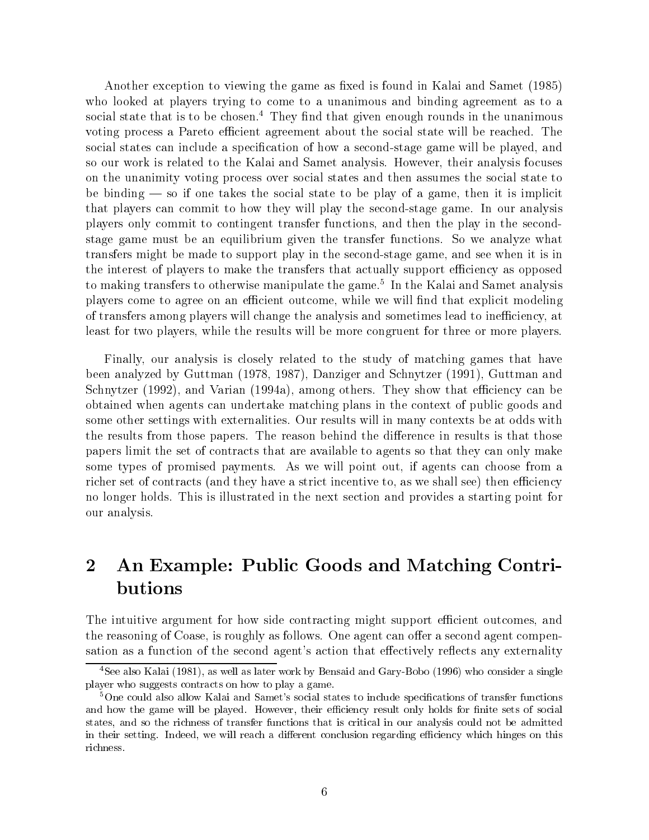Another exception to viewing the game as fixed is found in Kalai and Samet (1985) who looked at players trying to come to a unanimous and binding agreement as to a social state that is to be chosen.<sup>4</sup> They find that given enough rounds in the unanimous voting process a Pareto efficient agreement about the social state will be reached. The social states can include a specification of how a second-stage game will be played, and so our work is related to the Kalai and Samet analysis. However, their analysis focuses on the unanimity voting process over social states and then assumes the social state to be binding  $\sim$  so if one takes the social state to be play of a game, then it is implicit that players can commit to how they will play the second-stage game. In our analysis players only commit to contingent transfer functions, and then the play in the secondstage game must be an equilibrium given the transfer functions. So we analyze what transfers might be made to support play in the second-stage game, and see when it is in the interest of players to make the transfers that actually support efficiency as opposed to making transfers to otherwise manipulate the game.<sup>5</sup> In the Kalai and Samet analysis players come to agree on an efficient outcome, while we will find that explicit modeling of transfers among players will change the analysis and sometimes lead to ineciency, at least for two players, while the results will be more congruent for three or more players.

Finally, our analysis is closely related to the study of matching games that have been analyzed by Guttman (1978, 1987), Danziger and Schnytzer (1991), Guttman and Schnytzer (1992), and Varian (1994a), among others. They show that efficiency can be obtained when agents can undertake matching plans in the context of public goods and some other settings with externalities. Our results will in many contexts be at odds with the results from those papers. The reason behind the difference in results is that those papers limit the set of contracts that are available to agents so that they can only make some types of promised payments. As we will point out, if agents can choose from a richer set of contracts (and they have a strict incentive to, as we shall see) then efficiency no longer holds. This is illustrated in the next section and provides a starting point for our analysis.

## $\overline{2}$ 2 An Example: Public Goods and Matching Contributions

The intuitive argument for how side contracting might support efficient outcomes, and the reasoning of Coase, is roughly as follows. One agent can offer a second agent compensation as a function of the second agent's action that effectively reflects any externality

<sup>&</sup>lt;sup>4</sup>See also Kalai (1981), as well as later work by Bensaid and Gary-Bobo (1996) who consider a single player who suggests contracts on how to play a game.

<sup>&</sup>lt;sup>5</sup>One could also allow Kalai and Samet's social states to include specifications of transfer functions and how the game will be played. However, their efficiency result only holds for finite sets of social states, and so the richness of transfer functions that is critical in our analysis could not be admitted in their setting. Indeed, we will reach a different conclusion regarding efficiency which hinges on this richness.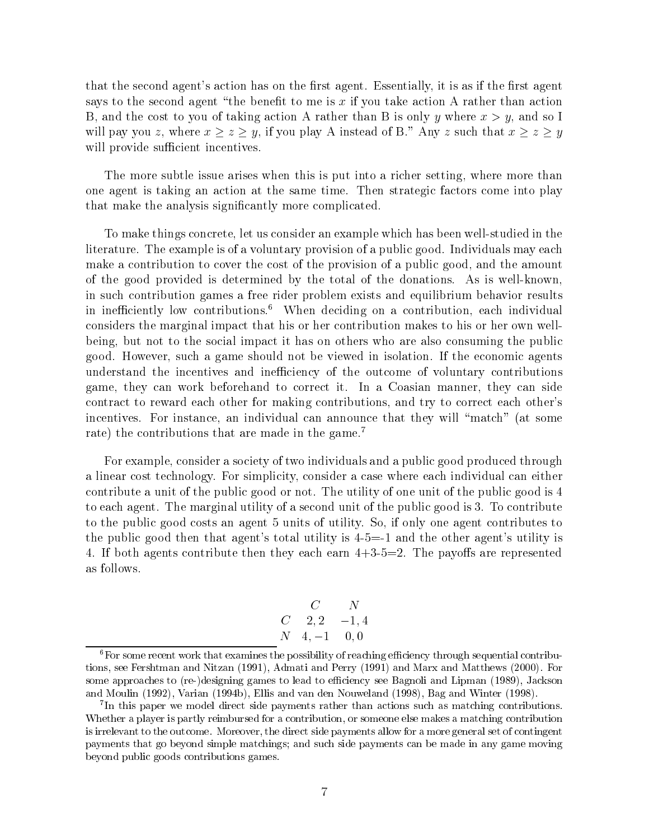that the second agent's action has on the first agent. Essentially, it is as if the first agent says to the second agent "the benefit to me is x if you take action A rather than action B, and the cost to you of taking action A rather than B is only y where  $x>y$ , and so I will pay you z, where  $x \ge z \ge y$ , if you play A instead of B." Any z such that  $x \ge z \ge y$ will provide sufficient incentives.

The more subtle issue arises when this is put into a richer setting, where more than one agent is taking an action at the same time. Then strategic factors come into play that make the analysis signicantly more complicated.

To make things concrete, let us consider an example which has been well-studied in the literature. The example is of a voluntary provision of a public good. Individuals may each make a contribution to cover the cost of the provision of a public good, and the amount of the good provided is determined by the total of the donations. As is well-known, in such contribution games a free rider problem exists and equilibrium behavior results in inefficiently low contributions.<sup>6</sup> When deciding on a contribution, each individual considers the marginal impact that his or her contribution makes to his or her own wellbeing, but not to the social impact it has on others who are also consuming the public good. However, such a game should not be viewed in isolation. If the economic agents understand the incentives and inefficiency of the outcome of voluntary contributions game, they can work beforehand to correct it. In a Coasian manner, they can side contract to reward each other for making contributions, and try to correct each other's incentives. For instance, an individual can announce that they will "match" (at some rate) the contributions that are made in the game.<sup>7</sup>

For example, consider a society of two individuals and a public good produced through a linear cost technology. For simplicity, consider a case where each individual can either contribute a unit of the public good or not. The utility of one unit of the public good is 4 to each agent. The marginal utility of a second unit of the public good is 3. To contribute to the public good costs an agent 5 units of utility. So, if only one agent contributes to the public good then that agent's total utility is 4-5=-1 and the other agent's utility is 4. If both agents contribute then they each earn  $4+3-5=2$ . The payoffs are represented as follows.

$$
\begin{array}{ccc}\n & C & N \\
C & 2,2 & -1,4 \\
N & 4,-1 & 0,0\n\end{array}
$$

 $6$ For some recent work that examines the possibility of reaching efficiency through sequential contributions, see Fershtman and Nitzan (1991), Admati and Perry (1991) and Marx and Matthews (2000). For some approaches to (re-)designing games to lead to efficiency see Bagnoli and Lipman (1989), Jackson and Moulin (1992), Varian (1994b), Ellis and van den Nouweland (1998), Bag and Winter (1998).

<sup>7</sup> In this paper we model direct side payments rather than actions such as matching contributions. Whether a player is partly reimbursed for a contribution, or someone else makes a matching contribution is irrelevant to the outcome. Moreover, the direct side payments allow for a more general set of contingent payments that go beyond simple matchings; and such side payments can be made in any game moving beyond public goods contributions games.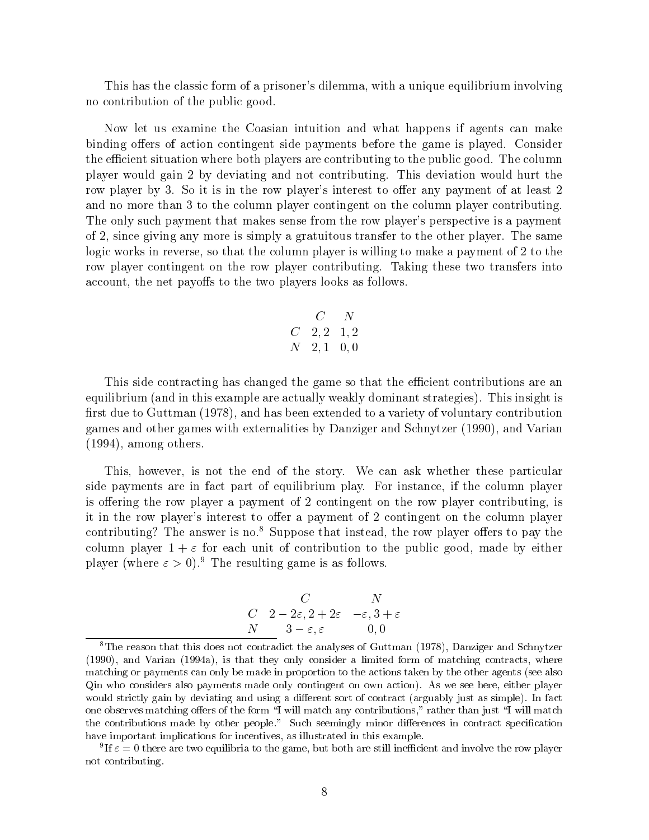This has the classic form of a prisoner's dilemma, with a unique equilibrium involving no contribution of the public good.

Now let us examine the Coasian intuition and what happens if agents can make binding offers of action contingent side payments before the game is played. Consider the efficient situation where both players are contributing to the public good. The column player would gain 2 by deviating and not contributing. This deviation would hurt the row player by 3. So it is in the row player's interest to offer any payment of at least 2 and no more than 3 to the column player contingent on the column player contributing. The only such payment that makes sense from the row player's perspective is a payment of 2, since giving any more is simply a gratuitous transfer to the other player. The same logic works in reverse, so that the column player is willing to make a payment of 2 to the row player contingent on the row player contributing. Taking these two transfers into account, the net payoffs to the two players looks as follows.

$$
\begin{array}{cc} C & N \\ C & 2,2 & 1,2 \\ N & 2,1 & 0,0 \end{array}
$$

This side contracting has changed the game so that the efficient contributions are an equilibrium (and in this example are actually weakly dominant strategies). This insight is first due to Guttman (1978), and has been extended to a variety of voluntary contribution games and other games with externalities by Danziger and Schnytzer (1990), and Varian (1994), among others.

This, however, is not the end of the story. We can ask whether these particular side payments are in fact part of equilibrium play. For instance, if the column player is offering the row player a payment of 2 contingent on the row player contributing, is it in the row player's interest to offer a payment of 2 contingent on the column player contributing? The answer is no.<sup>8</sup> Suppose that instead, the row player offers to pay the column player  $1 + \varepsilon$  for each unit of contribution to the public good, made by either player (where  $\varepsilon > 0$ ).<sup>9</sup> The resulting game is as follows.

$$
\begin{array}{ccc}\n & C & N \\
C & 2-2\varepsilon,2+2\varepsilon & -\varepsilon,3+\varepsilon \\
N & 3-\varepsilon,\varepsilon & 0,0\n\end{array}
$$

<sup>8</sup>The reason that this does not contradict the analyses of Guttman (1978), Danziger and Schnytzer (1990), and Varian (1994a), is that they only consider a limited form of matching contracts, where matching or payments can only be made in proportion to the actions taken by the other agents (see also Qin who considers also payments made only contingent on own action). As we see here, either player would strictly gain by deviating and using a different sort of contract (arguably just as simple). In fact one observes matching offers of the form "I will match any contributions," rather than just "I will match the contributions made by other people." Such seemingly minor differences in contract specification have important implications for incentives, as illustrated in this example.

 $\pm$  if  $\varepsilon=0$  there are two equilibria to the game, but both are still inemcient and involve the row player not contributing.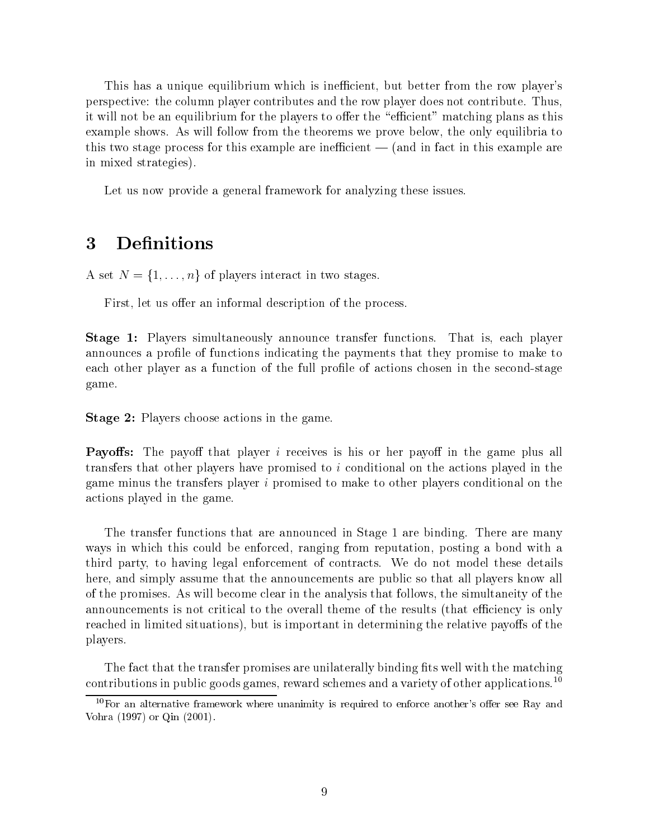This has a unique equilibrium which is inefficient, but better from the row player's perspective: the column player contributes and the row player does not contribute. Thus, it will not be an equilibrium for the players to offer the "efficient" matching plans as this example shows. As will follow from the theorems we prove below, the only equilibria to this two stage process for this example are inefficient  $-$  (and in fact in this example are in mixed strategies).

Let us now provide a general framework for analyzing these issues.

# 3 Definitions

A set  $N = \{1, \ldots, n\}$  of players interact in two stages.

First, let us offer an informal description of the process.

Stage 1: Players simultaneously announce transfer functions. That is, each player announces a prole of functions indicating the payments that they promise to make to each other player as a function of the full profile of actions chosen in the second-stage game.

Stage 2: Players choose actions in the game.

**Payoffs:** The payoff that player i receives is his or her payoff in the game plus all transfers that other players have promised to i conditional on the actions played in the game minus the transfers player i promised to make to other players conditional on the actions played in the game.

The transfer functions that are announced in Stage 1 are binding. There are many ways in which this could be enforced, ranging from reputation, posting a bond with a third party, to having legal enforcement of contracts. We do not model these details here, and simply assume that the announcements are public so that all players know all of the promises. As will become clear in the analysis that follows, the simultaneity of the announcements is not critical to the overall theme of the results (that efficiency is only reached in limited situations), but is important in determining the relative payoffs of the players.

The fact that the transfer promises are unilaterally binding fits well with the matching contributions in public goods games, reward schemes and a variety of other applications.<sup>10</sup>

 $10$ For an alternative framework where unanimity is required to enforce another's offer see Ray and Vohra (1997) or Qin (2001).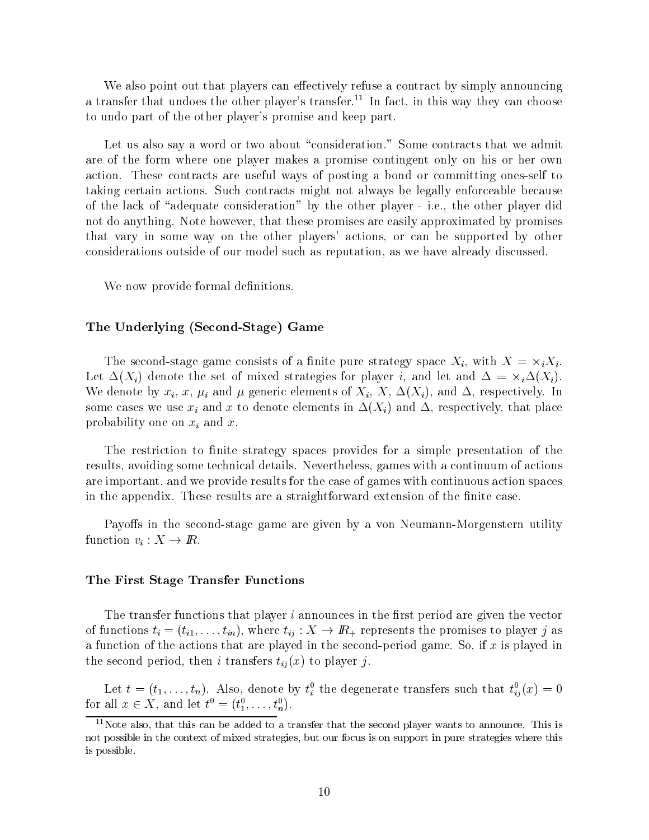We also point out that players can effectively refuse a contract by simply announcing a transfer that undoes the other player's transfer.<sup>11</sup> In fact, in this way they can choose to undo part of the other player's promise and keep part.

Let us also say a word or two about "consideration." Some contracts that we admit are of the form where one player makes a promise contingent only on his or her own action. These contracts are useful ways of posting a bond or committing ones-self to taking certain actions. Such contracts might not always be legally enforceable because of the lack of "adequate consideration" by the other player - i.e., the other player did not do anything. Note however, that these promises are easily approximated by promises that vary in some way on the other players' actions, or can be supported by other considerations outside of our model such as reputation, as we have already discussed.

We now provide formal definitions.

#### The Underlying (Second-Stage) Game

The second-stage game consists of a finite pure strategy space  $X_i$ , with  $X = \times_i X_i$ . Let  $\Delta(X_i)$  denote the set of mixed strategies for player i, and let and  $\Delta = \times_i \Delta(X_i)$ . We denote by  $x_i$ ,  $x$ ,  $\mu_i$  and  $\mu$  generic elements of  $X_i$ ,  $X$ ,  $\Delta(X_i)$ , and  $\Delta$ , respectively. In some cases we use  $x_i$  and x to denote elements in  $\Delta(X_i)$  and  $\Delta$ , respectively, that place probability one on  $x_i$  and  $x$ .

The restriction to finite strategy spaces provides for a simple presentation of the results, avoiding some technical details. Nevertheless, games with a continuum of actions are important, and we provide results for the case of games with continuous action spaces in the appendix. These results are a straightforward extension of the finite case.

Payoffs in the second-stage game are given by a von Neumann-Morgenstern utility function  $v_i : X \to \mathbb{R}$ 

#### The First Stage Transfer Functions

The transfer functions that player  $i$  announces in the first period are given the vector of functions  $t_i = (t_{i1},...,t_{in})$ , where  $t_{ij}: X \to \mathbb{R}_+$  represents the promises to player j as a function of the actions that are played in the second-period game. So, if x is played in the second period, then i transfers  $t_{ij}(x)$  to player j.

Let  $t = (t_1, \ldots, t_n)$ . Also, denote by  $t_i$  the degenerate transfers such that  $t_{ij}(x) = 0$ for all  $x \in X$ , and let  $t^{\circ} = (t_1^{\circ}, \ldots, t_n^{\circ}).$ 

 $11$ Note also, that this can be added to a transfer that the second player wants to announce. This is not possible in the context of mixed strategies, but our focus is on support in pure strategies where this is possible.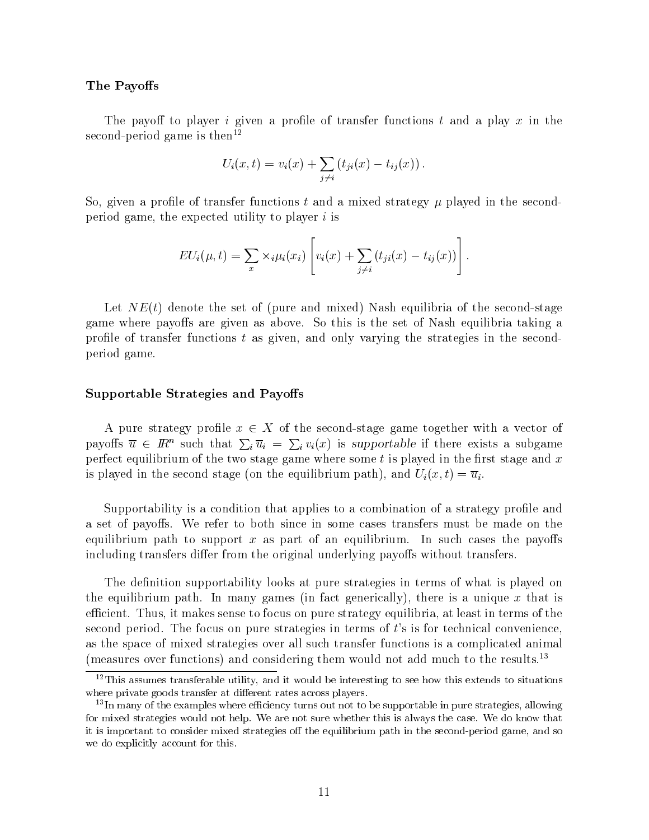#### The Payoffs

The payoff to player i given a profile of transfer functions t and a play x in the second-period game is then<sup>12</sup>

$$
U_i(x,t) = v_i(x) + \sum_{j \neq i} (t_{ji}(x) - t_{ij}(x)).
$$

So, given a profile of transfer functions t and a mixed strategy  $\mu$  played in the secondperiod game, the expected utility to player i is

$$
EU_i(\mu, t) = \sum_x \times_i \mu_i(x_i) \left[ v_i(x) + \sum_{j \neq i} (t_{ji}(x) - t_{ij}(x)) \right].
$$

Let  $NE(t)$  denote the set of (pure and mixed) Nash equilibria of the second-stage game where payoffs are given as above. So this is the set of Nash equilibria taking a profile of transfer functions  $t$  as given, and only varying the strategies in the secondperiod game.

## Supportable Strategies and Payoffs

A pure strategy profile  $x \in X$  of the second-stage game together with a vector of payoffs  $\overline{u} \in \mathbb{R}^n$  such that  $\sum_i \overline{u}_i = \sum_i v_i(x)$  is supportable if there exists a subgame perfect equilibrium of the two stage game where some  $t$  is played in the first stage and  $x$ is played in the second stage (on the equilibrium path), and  $U_i(x, t) = \overline{u}_i$ .

Supportability is a condition that applies to a combination of a strategy profile and a set of payoffs. We refer to both since in some cases transfers must be made on the equilibrium path to support x as part of an equilibrium. In such cases the payoffs including transfers differ from the original underlying payoffs without transfers.

The definition supportability looks at pure strategies in terms of what is played on the equilibrium path. In many games (in fact generically), there is a unique x that is efficient. Thus, it makes sense to focus on pure strategy equilibria, at least in terms of the second period. The focus on pure strategies in terms of t's is for technical convenience, as the space of mixed strategies over all such transfer functions is a complicated animal (measures over functions) and considering them would not add much to the results.13

 $12$ This assumes transferable utility, and it would be interesting to see how this extends to situations where private goods transfer at different rates across players.

<sup>&</sup>lt;sup>13</sup>In many of the examples where efficiency turns out not to be supportable in pure strategies, allowing for mixed strategies would not help. We are not sure whether this is always the case. We do know that it is important to consider mixed strategies off the equilibrium path in the second-period game, and so we do explicitly account for this.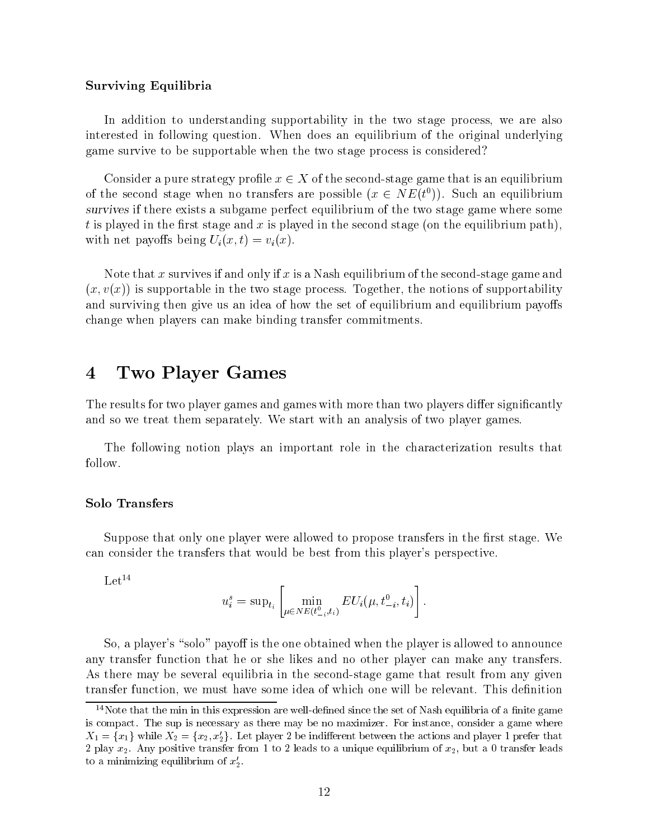#### Surviving Equilibria

In addition to understanding supportability in the two stage process, we are also interested in following question. When does an equilibrium of the original underlying game survive to be supportable when the two stage process is considered?

Consider a pure strategy profile  $x \in X$  of the second-stage game that is an equilibrium of the second stage when no transfers are possible  $(x \in NE(t^{\nu}))$ . Such an equilibrium survives if there exists a subgame perfect equilibrium of the two stage game where some t is played in the first stage and x is played in the second stage (on the equilibrium path), with net payoffs being  $U_i(x,t) = v_i(x)$ .

Note that x survives if and only if x is a Nash equilibrium of the second-stage game and  $(x, v(x))$  is supportable in the two stage process. Together, the notions of supportability and surviving then give us an idea of how the set of equilibrium and equilibrium payoffs change when players can make binding transfer commitments.

#### **Two Player Games** 4

The results for two player games and games with more than two players differ significantly and so we treat them separately. We start with an analysis of two player games.

The following notion plays an important role in the characterization results that follow.

#### Solo Transfers

Suppose that only one player were allowed to propose transfers in the first stage. We can consider the transfers that would be best from this player's perspective.

 $Let<sup>14</sup>$ 

$$
u_i^s = \operatorname{sup}_{t_i} \left[ \min_{\mu \in NE(t^0_{-i}, t_i)} EU_i(\mu, t^0_{-i}, t_i) \right].
$$

So, a player's "solo" payoff is the one obtained when the player is allowed to announce any transfer function that he or she likes and no other player can make any transfers. As there may be several equilibria in the second-stage game that result from any given transfer function, we must have some idea of which one will be relevant. This definition

 $14$ Note that the min in this expression are well-defined since the set of Nash equilibria of a finite game is compact. The sup is necessary as there may be no maximizer. For instance, consider a game where  $X_1 = \{x_1\}$  while  $X_2 = \{x_2, x_2'\}$ . Let player 2 be indifferent between the actions and player 1 prefer that 2 play  $x_2$ . Any positive transfer from 1 to 2 leads to a unique equilibrium of  $x_2$ , but a 0 transfer leads to a minimizing equilibrium of  $x_2'$ .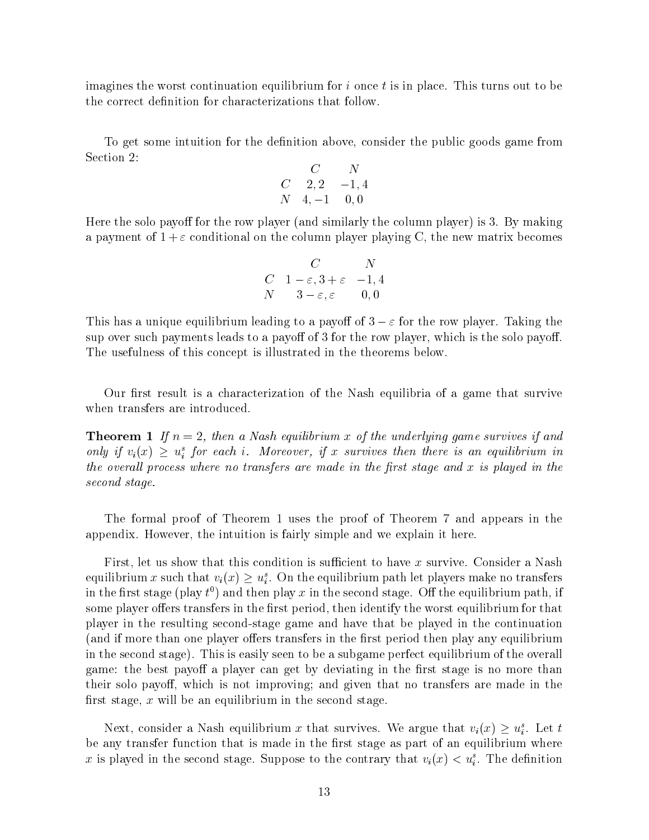imagines the worst continuation equilibrium for  $i$  once  $t$  is in place. This turns out to be the correct definition for characterizations that follow.

To get some intuition for the definition above, consider the public goods game from Section 2:

$$
\begin{array}{ccc}\nC & N \\
C & 2,2 & -1,4 \\
N & 4, -1 & 0,0\n\end{array}
$$

Here the solo payoff for the row player (and similarly the column player) is 3. By making a payment of  $1 + \varepsilon$  conditional on the column player playing C, the new matrix becomes

$$
\begin{array}{ccc}\n & C & N \\
C & 1-\varepsilon,3+\varepsilon & -1,4 \\
N & 3-\varepsilon,\varepsilon & 0,0\n\end{array}
$$

This has a unique equilibrium leading to a payoff of  $3 - \varepsilon$  for the row player. Taking the sup over such payments leads to a payoff of 3 for the row player, which is the solo payoff. The usefulness of this concept is illustrated in the theorems below.

Our first result is a characterization of the Nash equilibria of a game that survive when transfers are introduced.

**Theorem 1** If  $n = 2$ , then a Nash equilibrium x of the underlying game survives if and only if  $v_i(x) \ge u_i^s$  for each i. Moreover, if x survives then there is an equilibrium in  $\it{true}$  vectum process where no transfers are made in the prot stage and x is played in the second stage.

The formal proof of Theorem 1 uses the proof of Theorem 7 and appears in the appendix. However, the intuition is fairly simple and we explain it here.

First, let us show that this condition is sufficient to have x survive. Consider a Nash equilibrium x such that  $v_i(x) \geq u_i^s$ . On the equilibrium path let players make no transfers in the first stage (play  $\iota$  ) and then play  $x$  in the second stage. Off the equilibrium path, if some player offers transfers in the first period, then identify the worst equilibrium for that player in the resulting second-stage game and have that be played in the continuation (and if more than one player offers transfers in the first period then play any equilibrium in the second stage). This is easily seen to be a subgame perfect equilibrium of the overall game: the best payoff a player can get by deviating in the first stage is no more than their solo payoff, which is not improving; and given that no transfers are made in the first stage,  $x$  will be an equilibrium in the second stage.

Next, consider a Nash equilibrium x that survives. We argue that  $v_i(x) \ge u_i^s$ . Let t be any transfer function that is made in the first stage as part of an equilibrium where x is played in the second stage. Suppose to the contrary that  $v_i(x) < u_i$ . The definition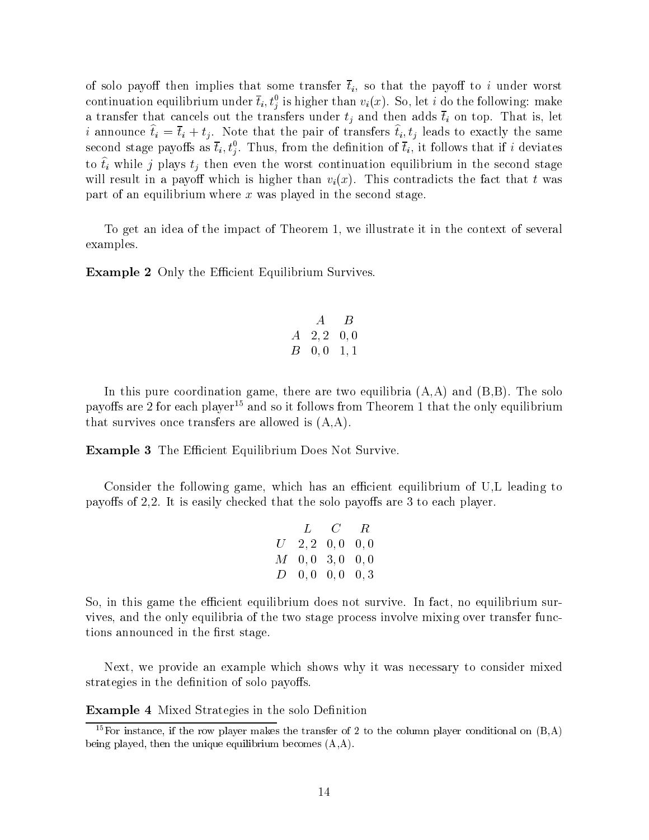of solo payoff then implies that some transfer  $\bar{t}_i$ , so that the payoff to i under worst continuation equilibrium under  $t_i, t_i$  is higher than  $v_i(x)$ . So, let  $i$  do the following: make je poznata u predstavanje u predstavanje predstavanje predstavanje predstavanje predstavanje predstavanje preds a transfer that cancels out that the transfers under the tip and the transfers tip.That is, let  $\sim$  letters top.That is, let t announce  $t_i = t_i + t_j$ . Trote that the pair of transfers  $t_i, t_j$  reads to exactly the same second stage payons as  $t_i, t_j$ . Thus, from the definition of  $t_i$ , it follows that if  $i$  deviates to  $t_i$  while j plays  $t_j$  then even the worst continuation equilibrium in the second stage will result in a payoff which is higher than  $v_i(x)$ . This contradicts the fact that t was part of an equilibrium where x was played in the second stage.

To get an idea of the impact of Theorem 1, we illustrate it in the context of several examples.

**Example 2** Only the Efficient Equilibrium Survives.

$$
\begin{array}{ccc} & A & B \\ A & 2,2 & 0,0 \\ B & 0,0 & 1,1 \end{array}
$$

In this pure coordination game, there are two equilibria  $(A,A)$  and  $(B,B)$ . The solo payoffs are 2 for each player<sup>15</sup> and so it follows from Theorem 1 that the only equilibrium that survives once transfers are allowed is (A,A).

**Example 3** The Efficient Equilibrium Does Not Survive.

Consider the following game, which has an efficient equilibrium of U,L leading to payoffs of 2,2. It is easily checked that the solo payoffs are 3 to each player.

$$
\begin{array}{cccccc}\n & L & C & R \\
U & 2,2 & 0,0 & 0,0 \\
M & 0,0 & 3,0 & 0,0 \\
D & 0,0 & 0,0 & 0,3\n\end{array}
$$

So, in this game the efficient equilibrium does not survive. In fact, no equilibrium survives, and the only equilibria of the two stage process involve mixing over transfer functions announced in the first stage.

Next, we provide an example which shows why it was necessary to consider mixed strategies in the definition of solo payoffs.

**Example 4** Mixed Strategies in the solo Definition

<sup>&</sup>lt;sup>15</sup>For instance, if the row player makes the transfer of 2 to the column player conditional on  $(B, A)$ being played, then the unique equilibrium becomes (A,A).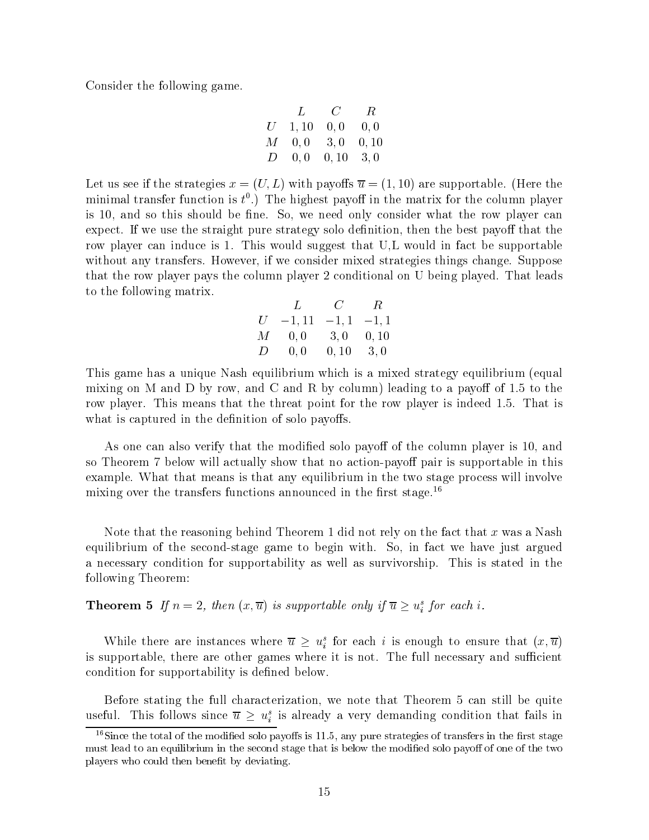Consider the following game.

$$
\begin{array}{ccccc}\n & L & C & R \\
U & 1, 10 & 0, 0 & 0, 0 \\
M & 0, 0 & 3, 0 & 0, 10 \\
D & 0, 0 & 0, 10 & 3, 0\n\end{array}
$$

Let us see if the strategies  $x = (U, L)$  with payoffs  $\overline{u} = (1, 10)$  are supportable. (Here the  $\min$ inimal transfer function is  $t^*$ .) The highest payon in the matrix for the column player is 10, and so this should be fine. So, we need only consider what the row player can expect. If we use the straight pure strategy solo definition, then the best payoff that the row player can induce is 1. This would suggest that U,L would in fact be supportable without any transfers. However, if we consider mixed strategies things change. Suppose that the row player pays the column player 2 conditional on U being played. That leads to the following matrix.

$$
\begin{array}{cccc}\n & L & C & R \\
U & -1, 11 & -1, 1 & -1, 1 \\
M & 0, 0 & 3, 0 & 0, 10 \\
D & 0, 0 & 0, 10 & 3, 0\n\end{array}
$$

This game has a unique Nash equilibrium which is a mixed strategy equilibrium (equal mixing on M and D by row, and C and R by column) leading to a payoff of 1.5 to the row player. This means that the threat point for the row player is indeed 1.5. That is what is captured in the definition of solo payoffs.

As one can also verify that the modified solo payoff of the column player is 10, and so Theorem 7 below will actually show that no action-payoff pair is supportable in this example. What that means is that any equilibrium in the two stage process will involve mixing over the transfers functions announced in the first stage.<sup>16</sup>

Note that the reasoning behind Theorem 1 did not rely on the fact that  $x$  was a Nash equilibrium of the second-stage game to begin with. So, in fact we have just argued a necessary condition for supportability as well as survivorship. This is stated in the following Theorem:

**Theorem 5** If  $n = 2$ , then  $(x, \overline{u})$  is supportable only if  $\overline{u} \ge u_i^s$  for each i.

While there are instances where  $\overline{u} \geq u_i^s$  for each i is enough to ensure that  $(x, \overline{u})$ is supportable, there are other games where it is not. The full necessary and sufficient condition for supportability is defined below.

Before stating the full characterization, we note that Theorem 5 can still be quite useful. This follows since  $\overline{u} \geq u_i^s$  is already a very demanding condition that fails in

<sup>&</sup>lt;sup>16</sup>Since the total of the modified solo payoffs is 11.5, any pure strategies of transfers in the first stage must lead to an equilibrium in the second stage that is below the modified solo payoff of one of the two players who could then benefit by deviating.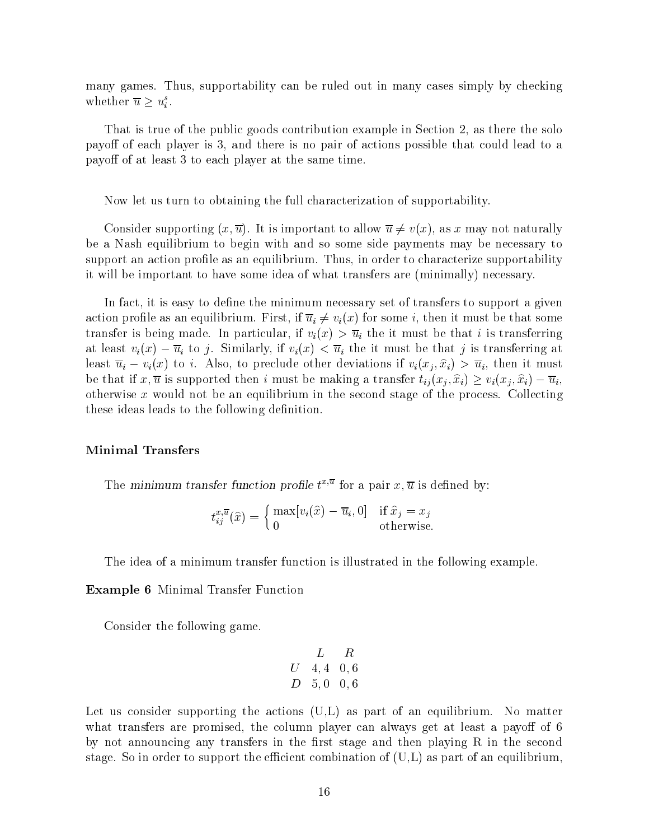many games. Thus, supportability can be ruled out in many cases simply by checking whether  $\overline{u} \geq u_i^s$ .

That is true of the public goods contribution example in Section 2, as there the solo payoff of each player is 3, and there is no pair of actions possible that could lead to a payoff of at least 3 to each player at the same time.

Now let us turn to obtaining the full characterization of supportability.

Consider supporting  $(x, \overline{u})$ . It is important to allow  $\overline{u} \neq v(x)$ , as x may not naturally be a Nash equilibrium to begin with and so some side payments may be necessary to support an action profile as an equilibrium. Thus, in order to characterize supportability it will be important to have some idea of what transfers are (minimally) necessary.

In fact, it is easy to define the minimum necessary set of transfers to support a given action profile as an equilibrium. First, if  $\overline{u}_i\neq v_i(x)$  for some  $i,$  then it must be that some transfer is being made. In particular, if  $v_i(x) > \overline{u}_i$  the it must be that i is transferring at least  $v_i(x) - \overline{u}_i$  to j. Similarly, if  $v_i(x) < \overline{u}_i$  the it must be that j is transferring at least  $\overline{u}_i - v_i(x)$  to i. Also, to preclude other deviations if  $v_i(x_j, \hat{x}_i) > \overline{u}_i$ , then it must be that if  $x, \overline{u}$  is supported then i must be making a transfer  $t_{ij}(x_i, \hat{x}_i) \geq v_i(x_i, \hat{x}_i) - \overline{u}_i$ , otherwise x would not be an equilibrium in the second stage of the process. Collecting these ideas leads to the following definition.

#### Minimal Transfers

The minimum transfer function prome  $t^{2,2}$  for a pair  $x, u$  is defined by:

$$
t_{ij}^{x,\overline{u}}(\widehat{x}) = \begin{cases} \max[v_i(\widehat{x}) - \overline{u}_i, 0] & \text{if } \widehat{x}_j = x_j \\ 0 & \text{otherwise.} \end{cases}
$$

The idea of a minimum transfer function is illustrated in the following example.

Example 6 Minimal Transfer Function

Consider the following game.

$$
\begin{array}{ccccc}\n & L & R \\
U & 4, 4 & 0, 6 \\
D & 5, 0 & 0, 6\n\end{array}
$$

Let us consider supporting the actions (U,L) as part of an equilibrium. No matter what transfers are promised, the column player can always get at least a payoff of  $6$ by not announcing any transfers in the first stage and then playing  $R$  in the second stage. So in order to support the efficient combination of  $(U,L)$  as part of an equilibrium,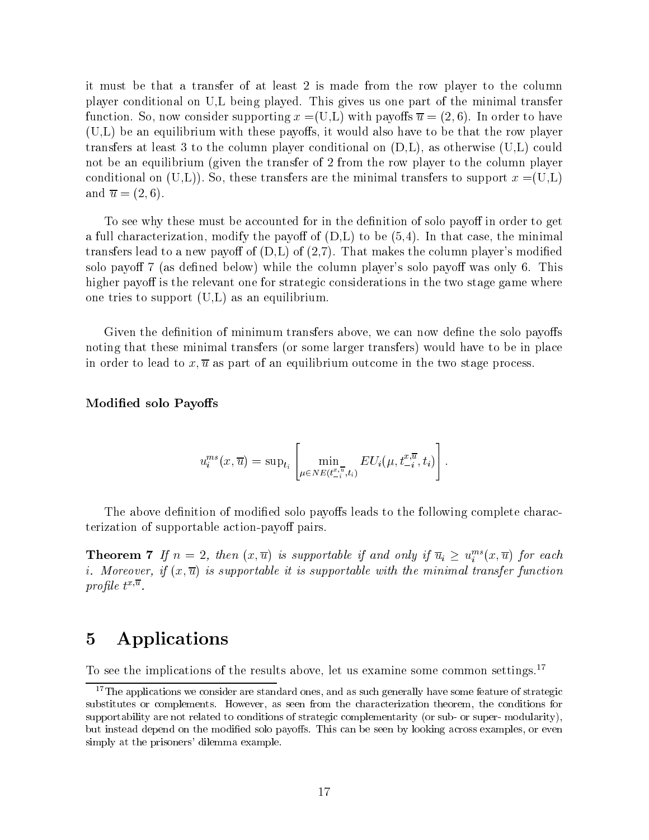it must be that a transfer of at least 2 is made from the row player to the column player conditional on U,L being played. This gives us one part of the minimal transfer function. So, now consider supporting  $x = (U, L)$  with payoffs  $\overline{u} = (2, 6)$ . In order to have  $(U,L)$  be an equilibrium with these payoffs, it would also have to be that the row player transfers at least 3 to the column player conditional on (D,L), as otherwise (U,L) could not be an equilibrium (given the transfer of 2 from the row player to the column player conditional on  $(U,L)$ ). So, these transfers are the minimal transfers to support  $x = (U,L)$ and  $\overline{u} = (2,6)$ .

To see why these must be accounted for in the definition of solo payoff in order to get a full characterization, modify the payoff of  $(D,L)$  to be  $(5,4)$ . In that case, the minimal transfers lead to a new payoff of  $(D,L)$  of  $(2,7)$ . That makes the column player's modified solo payoff 7 (as defined below) while the column player's solo payoff was only 6. This higher payoff is the relevant one for strategic considerations in the two stage game where one tries to support (U,L) as an equilibrium.

Given the definition of minimum transfers above, we can now define the solo payoffs noting that these minimal transfers (or some larger transfers) would have to be in place in order to lead to  $x,\overline{u}$  as part of an equilibrium outcome in the two stage process.

Modified solo Payoffs

$$
u_i^{ms}(x,\overline{u}) = \operatorname{sup}_{t_i} \left[ \min_{\mu \in NE(t_{-i}^{x,\overline{u}},t_i)} EU_i(\mu,t_{-i}^{x,\overline{u}},t_i) \right].
$$

The above definition of modified solo payoffs leads to the following complete characterization of supportable action-payoff pairs.

**Theorem 7** If  $n = 2$ , then  $(x, \overline{u})$  is supportable if and only if  $\overline{u}_i \geq u_i^{ms}(x, \overline{u})$  for each i. Moreover, if  $(x, \overline{u})$  is supportable it is supportable with the minimal transfer function profile  $t^{-1}$ .

## 5 Applications

To see the implications of the results above, let us examine some common settings.<sup>17</sup>

 $17$ The applications we consider are standard ones, and as such generally have some feature of strategic substitutes or complements. However, as seen from the characterization theorem, the conditions for supportability are not related to conditions of strategic complementarity (or sub- or super- modularity), but instead depend on the modified solo payoffs. This can be seen by looking across examples, or even simply at the prisoners' dilemma example.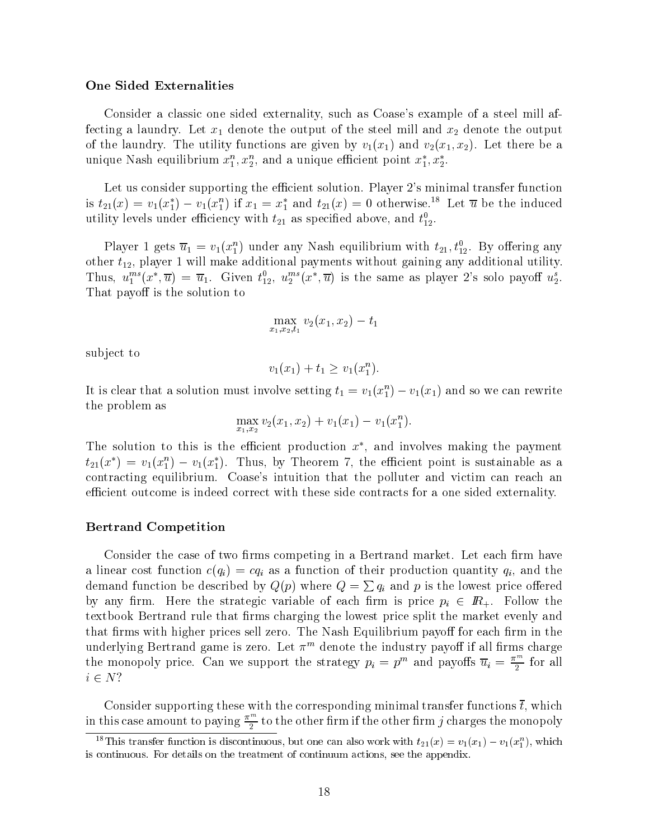#### One Sided Externalities

Consider a classic one sided externality, such as Coase's example of a steel mill affecting a laundry. Let  $x_1$  denote the output of the steel mill and  $x_2$  denote the output of the laundry. The utility functions are given by  $v_1(x_1)$  and  $v_2(x_1, x_2)$ . Let there be a unique ivasii equilibrium  $x_1^2, x_2^2$ , and a unique emclent point  $x_1, x_2$ .

Let us consider supporting the efficient solution. Player 2's minimal transfer function is  $t_{21}(x) = v_1(x_1) - v_1(x_1)$  if  $x_1 = x_1$  and  $t_{21}(x) = 0$  otherwise.<sup>11</sup> Let u be the induced utility levels under emclency with  $t_{21}$  as specified above, and  $t_{12}$ .

Player 1 gets  $u_1 = v_1(x_1)$  under any Nash equilibrium with  $t_{21}, t_{12}$ . By onering any other  $t_{12}$ , player 1 will make additional payments without gaining any additional utility. Thus,  $u_1^{ms}(x^*, \overline{u}) = \overline{u}_1$ . Given  $t_{12}^0$ ,  $u_2^{ms}(x^*, \overline{u})$  is the same as player 2's solo payoff  $u_2^s$ . That payoff is the solution to

$$
\max_{x_1,x_2,t_1} v_2(x_1,x_2) - t_1
$$

subject to

$$
v_1(x_1) + t_1 \ge v_1(x_1^n).
$$

It is clear that a solution must involve setting  $\iota_1 = v_1(x_1) - v_1(x_1)$  and so we can rewrite the problem as

$$
\max_{x_1,x_2} v_2(x_1,x_2) + v_1(x_1) - v_1(x_1^n).
$$

The solution to this is the emclent production  $x$ , and involves making the payment  $t_{21}(x) = v_1(x_1) - v_1(x_1)$ . Thus, by Theorem 7, the efficient point is sustainable as a contracting equilibrium. Coase's intuition that the polluter and victim can reach an efficient outcome is indeed correct with these side contracts for a one sided externality.

#### Bertrand Competition

Consider the case of two firms competing in a Bertrand market. Let each firm have a linear cost function  $c(q_i) = cq_i$  as a function of their production quantity  $q_i$ , and the demand function be described by  $Q(p)$  where  $Q = \sum q_i$  and p is the lowest price offered by any firm. Here the strategic variable of each firm is price  $p_i \in I\!\!R_+$ . Follow the textbook Bertrand rule that firms charging the lowest price split the market evenly and that firms with higher prices sell zero. The Nash Equilibrium payoff for each firm in the underlying Bertrand game is zero. Let  $\pi^{\cdots}$  denote the industry payon if all firms charge the monopoly price. Can we support the strategy  $p_i = p^m$  and payoffs  $\overline{u}_i = \frac{\pi^m}{2}$  for all  $i \in N?$ 

Consider supporting these with the corresponding minimal transfer functions  $\bar{t}$ , which in this case amount to paying  $\frac{\pi m}{2}$  to the other firm if the other firm  $j$  charges the monopoly

This transfer function is discontinuous, but one can also work with  $\iota_{21}(x) = v_1(x_1) - v_1(x_1^*)$ , which is continuous. For details on the treatment of continuum actions, see the appendix.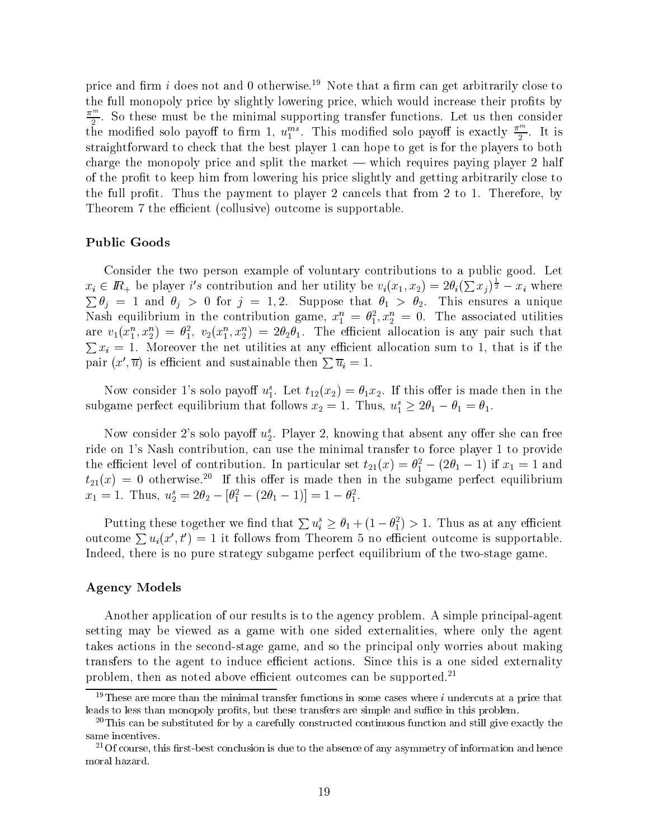price and firm  $i$  does not and 0 otherwise.<sup>19</sup> Note that a firm can get arbitrarily close to the full monopoly price by slightly lowering price, which would increase their profits by  $\pi$   $\alpha$   $\pi$  $2$  . So these must be the minimal supporting transfer functions  $\sim$ the modified solo payoff to firm 1,  $u_1^{ms}$ . This modified solo payoff is exactly  $\frac{\pi^m}{2}$ . It is straightforward to check that the best player 1 can hope to get is for the players to both charge the monopoly price and split the market  $-$  which requires paying player 2 half of the prot to keep him from lowering his price slightly and getting arbitrarily close to the full prot. Thus the payment to player 2 cancels that from 2 to 1. Therefore, by Theorem 7 the efficient (collusive) outcome is supportable.

#### Public Goods

Consider the two person example of voluntary contributions to a public good. Let  $x_i \in I\!\!R_+$  be player i's contribution and her utility be  $v_i(x_1, x_2) = 2\theta_i(\sum x_i)^{\frac{1}{2}} - x_i$  where  $\sum \theta_i = 1$  and  $\theta_i > 0$  for  $j = 1, 2$ . Suppose that  $\theta_1 > \theta_2$ . This ensures a unique Ivash equilibrium in the contribution game,  $x_1 = \sigma_1, x_2 = 0$ . The associated utilities are  $v_1(x_1^-, x_2^-) = v_1^-, v_2(x_1^-, x_2^-) = zv_2v_1$ . The efficient allocation is any pair such that <u>Product</u> the second contract of the second contract of the second contract of the second contract of the second contract of the second contract of the second contract of the second contract of the second contract of the s  $\mathbf{u}$  and net utilities at any economic at any economic allocation sum to 1, that is if the 1, that is if the 1, that is if the 1, that is if the 1, that is if the 1, that is if the 1, that is if the 1, that is if the pair  $(x', \overline{u})$  is efficient and sustainable then  $\sum \overline{u_i} = 1$ .

Now consider 1's solo payoff  $u_1^s$ . Let  $t_{12}(x_2) = \theta_1 x_2$ . If this offer is made then in the subgame perfect equilibrium that follows  $x_2 = 1$ . Thus,  $u_1^s \geq 2\theta_1 - \theta_1 = \theta_1$ .

Now consider 2's solo payoff  $u_2^s$ . Player 2, knowing that absent any offer she can free ride on 1's Nash contribution, can use the minimal transfer to force player 1 to provide the efficient level of contribution. In particular set  $t_{21}(x) = \sigma_1 - (2\sigma_1 - 1)$  if  $x_1 = 1$  and  $t_{21}(x) = 0$  otherwise.<sup>20</sup> If this offer is made then in the subgame perfect equilibrium  $x_1 = 1$ . I flus,  $u_2 = 2\sigma_2 - [\sigma_1 - (2\sigma_1 - 1)] = 1 - \sigma_1$ .

Putting these together we find that  $\sum u_i^s \geq \theta_1 + (1-\theta_1^2) > 1$ . Thus as at any efficient outcome  $\sum u_i(x', t') = 1$  it follows from Theorem 5 no efficient outcome is supportable. Indeed, there is no pure strategy subgame perfect equilibrium of the two-stage game.

#### Agency Models

Another application of our results is to the agency problem. A simple principal-agent setting may be viewed as a game with one sided externalities, where only the agent takes actions in the second-stage game, and so the principal only worries about making transfers to the agent to induce efficient actions. Since this is a one sided externality problem, then as noted above efficient outcomes can be supported.<sup>21</sup>

<sup>&</sup>lt;sup>19</sup>These are more than the minimal transfer functions in some cases where i undercuts at a price that leads to less than monopoly profits, but these transfers are simple and suffice in this problem.

<sup>&</sup>lt;sup>20</sup>This can be substituted for by a carefully constructed continuous function and still give exactly the same incentives.

 $21$  Of course, this first-best conclusion is due to the absence of any asymmetry of information and hence moral hazard.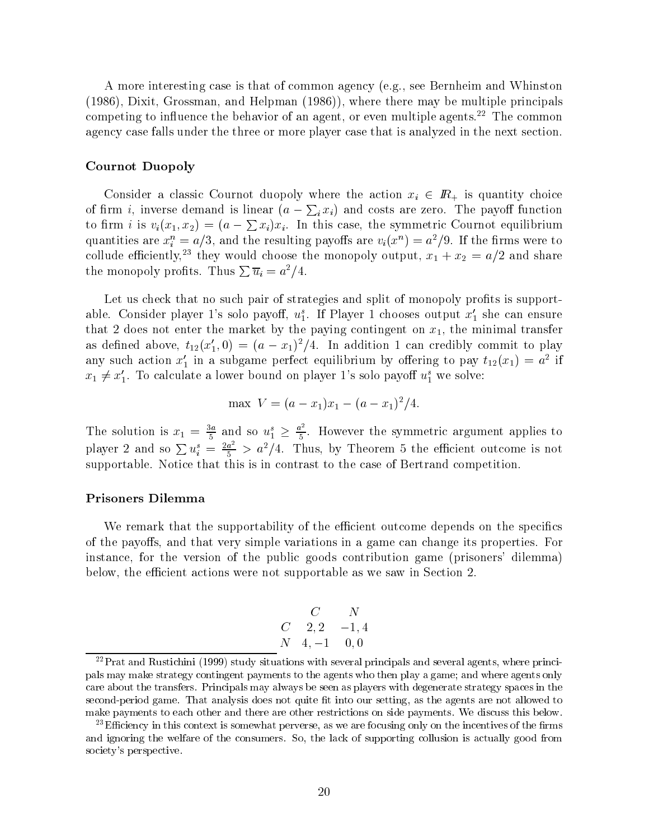A more interesting case is that of common agency (e.g., see Bernheim and Whinston (1986), Dixit, Grossman, and Helpman (1986)), where there may be multiple principals competing to influence the behavior of an agent, or even multiple agents.<sup>22</sup> The common agency case falls under the three or more player case that is analyzed in the next section.

#### Cournot Duopoly

Consider a classic Cournot duopoly where the action  $x_i \in \mathbb{R}_+$  is quantity choice of firm *i*, inverse demand is linear  $(a - \sum_i x_i)$  and costs are zero. The payoff function to firm *i* is  $v_i(x_1, x_2) = (a - \sum x_i)x_i$ . In this case, the symmetric Cournot equilibrium quantities are  $x_i = a/\beta$ , and the resulting payons are  $v_i(x) = a/\beta$ . If the firms were to collude efficiently,<sup>23</sup> they would choose the monopoly output,  $x_1 + x_2 = a/2$  and share the monopoly profits. Thus  $\sum \overline{u_i} = a^2/4$ .

Let us check that no such pair of strategies and split of monopoly profits is supportable. Consider player 1's solo payoff,  $u_1^s$ . If Player 1 chooses output  $x_1'$  she can ensure that 2 does not enter the market by the paying contingent on  $x_1$ , the minimal transfer as defined above,  $t_{12}(x_1,0) = (a-x_1)^2/4$ . In addition 1 can credibly commit to play any such action  $x_1$  in a subgame perfect equilibrium by offering to pay  $\iota_{12}(x_1) = a^2$  if  $x_1 \neq x_1'$ . To calculate a lower bound on player 1's solo payoff  $u_1^s$  we solve:

$$
\max V = (a - x_1)x_1 - (a - x_1)^2/4.
$$

The solution is  $x_1 = \frac{3a}{5}$  and so  $u_1^s \geq \frac{a}{5}$ . However the symmetric argument applies to player 2 and so  $\sum u_i^s = \frac{2a^2}{5} > a^2/4$ . Thus, by Theorem 5 the efficient outcome is not supportable. Notice that this is in contrast to the case of Bertrand competition.

#### Prisoners Dilemma

We remark that the supportability of the efficient outcome depends on the specifics of the payoffs, and that very simple variations in a game can change its properties. For instance, for the version of the public goods contribution game (prisoners' dilemma) below, the efficient actions were not supportable as we saw in Section 2.

$$
\begin{array}{cc}\nC & N \\
C & 2,2 & -1,4 \\
N & 4,-1 & 0,0\n\end{array}
$$

<sup>22</sup>Prat and Rustichini (1999) study situations with several principals and several agents, where principals may make strategy contingent payments to the agents who then play a game; and where agents only care about the transfers. Principals may always be seen as players with degenerate strategy spaces in the second-period game. That analysis does not quite fit into our setting, as the agents are not allowed to make payments to each other and there are other restrictions on side payments. We discuss this below.

<sup>&</sup>lt;sup>23</sup>Efficiency in this context is somewhat perverse, as we are focusing only on the incentives of the firms and ignoring the welfare of the consumers. So, the lack of supporting collusion is actually good from society's perspective.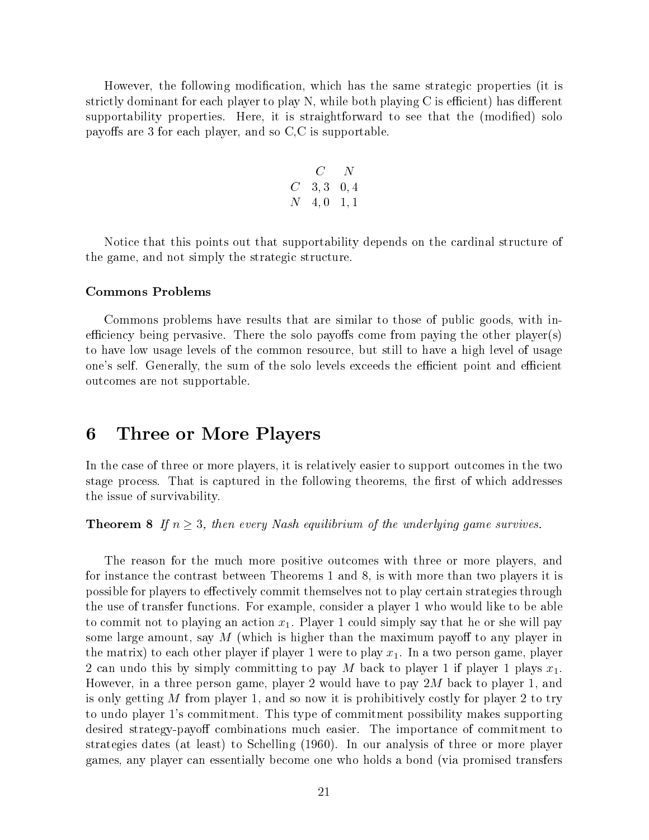However, the following modification, which has the same strategic properties (it is strictly dominant for each player to play  $N$ , while both playing  $C$  is efficient) has different supportability properties. Here, it is straightforward to see that the (modified) solo payoffs are 3 for each player, and so  $C, C$  is supportable.

$$
\begin{array}{ccc} & C & N \\ C & 3,3 & 0,4 \\ N & 4,0 & 1,1 \end{array}
$$

Notice that this points out that supportability depends on the cardinal structure of the game, and not simply the strategic structure.

## Commons Problems

Commons problems have results that are similar to those of public goods, with inefficiency being pervasive. There the solo payoffs come from paying the other player(s) to have low usage levels of the common resource, but still to have a high level of usage one's self. Generally, the sum of the solo levels exceeds the efficient point and efficient outcomes are not supportable.

#### 6 Three or More Players

In the case of three or more players, it is relatively easier to support outcomes in the two stage process. That is captured in the following theorems, the first of which addresses the issue of survivability.

**Theorem 8** If  $n \geq 3$ , then every Nash equilibrium of the underlying game survives.

The reason for the much more positive outcomes with three or more players, and for instance the contrast between Theorems 1 and 8, is with more than two players it is possible for players to effectively commit themselves not to play certain strategies through the use of transfer functions. For example, consider a player 1 who would like to be able to commit not to playing an action  $x_1$ . Player 1 could simply say that he or she will pay some large amount, say  $M$  (which is higher than the maximum payoff to any player in the matrix) to each other player if player 1 were to play  $x_1$ . In a two person game, player 2 can undo this by simply committing to pay M back to player 1 if player 1 plays  $x_1$ . However, in a three person game, player 2 would have to pay  $2M$  back to player 1, and is only getting  $M$  from player 1, and so now it is prohibitively costly for player 2 to try to undo player 1's commitment. This type of commitment possibility makes supporting desired strategy-payoff combinations much easier. The importance of commitment to strategies dates (at least) to Schelling (1960). In our analysis of three or more player games, any player can essentially become one who holds a bond (via promised transfers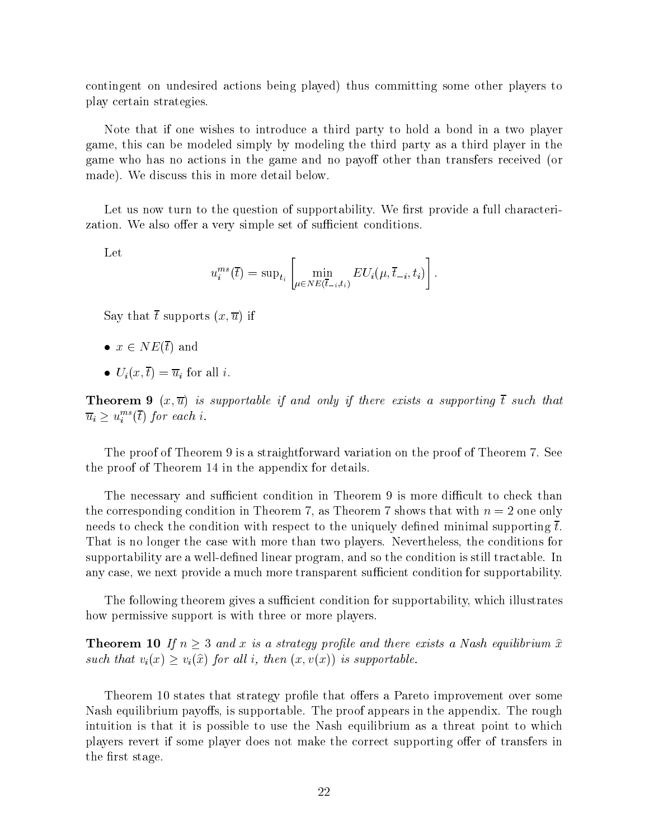contingent on undesired actions being played) thus committing some other players to play certain strategies.

Note that if one wishes to introduce a third party to hold a bond in a two player game, this can be modeled simply by modeling the third party as a third player in the game who has no actions in the game and no payoff other than transfers received (or made). We discuss this in more detail below.

Let us now turn to the question of supportability. We first provide a full characterization. We also offer a very simple set of sufficient conditions.

Let

$$
u_i^{ms}(\overline{t}) = \sup_{t_i} \left[ \min_{\mu \in NE(\overline{t}_{-i}, t_i)} EU_i(\mu, \overline{t}_{-i}, t_i) \right].
$$

Say that  $\bar{t}$  supports  $(x,\bar{u})$  if

- $\bullet x \in NE(t)$  and
- $\bullet$   $U_i(x, t) = u_i$  for all i.

**Theorem 9**  $(x, \overline{u})$  is supportable if and only if there exists a supporting  $\overline{t}$  such that  $\overline{u}_i \geq u_i^{ms}(t)$  for each i.

The proof of Theorem 9 is a straightforward variation on the proof of Theorem 7. See the proof of Theorem 14 in the appendix for details.

The necessary and sufficient condition in Theorem 9 is more difficult to check than the corresponding condition in Theorem 7, as Theorem 7 shows that with  $n = 2$  one only needs to check the condition with respect to the uniquely defined minimal supporting  $\bar{t}$ . That is no longer the case with more than two players. Nevertheless, the conditions for supportability are a well-defined linear program, and so the condition is still tractable. In any case, we next provide a much more transparent sufficient condition for supportability.

The following theorem gives a sufficient condition for supportability, which illustrates how permissive support is with three or more players.

**Theorem 10** If  $n \geq 3$  and x is a strategy profile and there exists a Nash equilibrium  $\hat{x}$ such that  $v_i(x) \ge v_i(\hat{x})$  for all i, then  $(x, v(x))$  is supportable.

Theorem 10 states that strategy profile that offers a Pareto improvement over some Nash equilibrium payoffs, is supportable. The proof appears in the appendix. The rough intuition is that it is possible to use the Nash equilibrium as a threat point to which players revert if some player does not make the correct supporting offer of transfers in the first stage.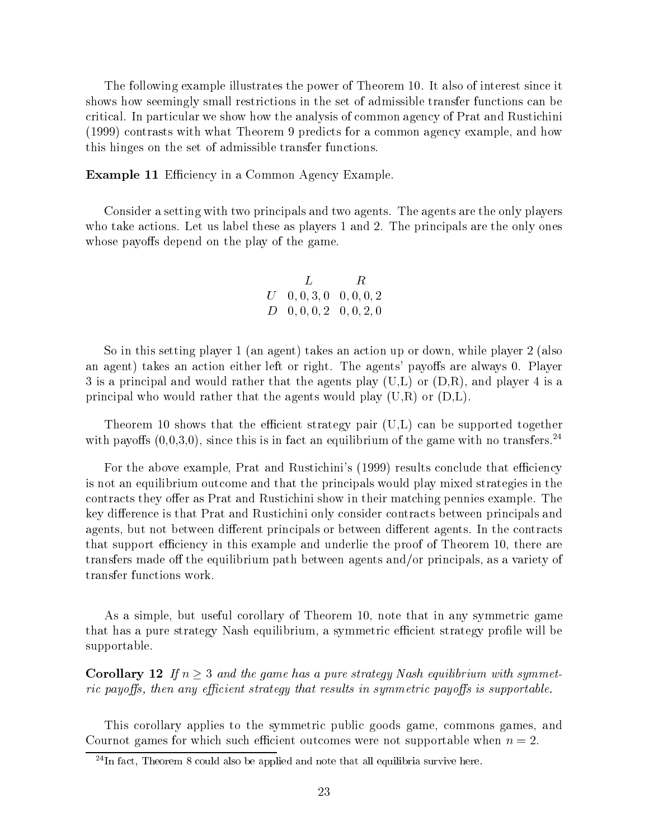The following example illustrates the power of Theorem 10. It also of interest since it shows how seemingly small restrictions in the set of admissible transfer functions can be critical. In particular we show how the analysis of common agency of Prat and Rustichini (1999) contrasts with what Theorem 9 predicts for a common agency example, and how this hinges on the set of admissible transfer functions.

**Example 11** Efficiency in a Common Agency Example.

Consider a setting with two principals and two agents. The agents are the only players who take actions. Let us label these as players 1 and 2. The principals are the only ones whose payoffs depend on the play of the game.

$$
\begin{array}{cc}L&R\\ U&0,0,3,0&0,0,0,2 \\ D&0,0,0,2&0,0,2,0\end{array}
$$

So in this setting player 1 (an agent) takes an action up or down, while player 2 (also an agent) takes an action either left or right. The agents' payoffs are always 0. Player 3 is a principal and would rather that the agents play  $(U,L)$  or  $(D,R)$ , and player 4 is a principal who would rather that the agents would play  $(U,R)$  or  $(D,L)$ .

Theorem 10 shows that the efficient strategy pair  $(U,L)$  can be supported together with payoffs  $(0,0,3,0)$ , since this is in fact an equilibrium of the game with no transfers.<sup>24</sup>

For the above example, Prat and Rustichini's (1999) results conclude that efficiency is not an equilibrium outcome and that the principals would play mixed strategies in the contracts they offer as Prat and Rustichini show in their matching pennies example. The key difference is that Prat and Rustichini only consider contracts between principals and agents, but not between different principals or between different agents. In the contracts that support efficiency in this example and underlie the proof of Theorem 10, there are transfers made off the equilibrium path between agents and/or principals, as a variety of transfer functions work.

As a simple, but useful corollary of Theorem 10, note that in any symmetric game that has a pure strategy Nash equilibrium, a symmetric efficient strategy profile will be supportable.

**Corollary 12** If  $n > 3$  and the game has a pure strategy Nash equilibrium with symmetric payos, then any ecient strategy that results in symmetric payos is supportable.

This corollary applies to the symmetric public goods game, commons games, and Cournot games for which such efficient outcomes were not supportable when  $n = 2$ .

 $24$ In fact, Theorem 8 could also be applied and note that all equilibria survive here.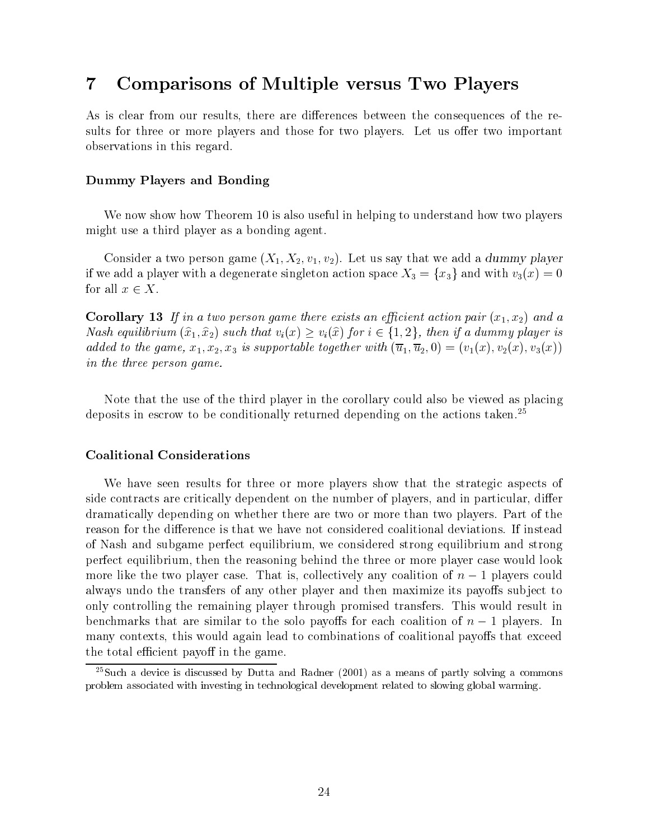#### 7 Comparisons of Multiple versus Two Players  $\overline{7}$

As is clear from our results, there are differences between the consequences of the results for three or more players and those for two players. Let us offer two important observations in this regard.

### Dummy Players and Bonding

We now show how Theorem 10 is also useful in helping to understand how two players might use a third player as a bonding agent.

Consider a two person game  $(X_1, X_2, v_1, v_2)$ . Let us say that we add a dummy player if we add a player with a degenerate singleton action space  $X_3 = \{x_3\}$  and with  $v_3(x)=0$ for all  $x \in X$ .

**Corollary 13** If in a two person game there exists an efficient action pair  $(x_1, x_2)$  and a Nash equilibrium  $(\widehat{x}_1, \widehat{x}_2)$  such that  $v_i(x) \ge v_i(\widehat{x})$  for  $i \in \{1, 2\}$ , then if a dummy player is added to the game, x1; x2; x3 is supportable together with (u1; u2; 0) = (v1(x); v2(x); v3(x)) in the three person game.

Note that the use of the third player in the corollary could also be viewed as placing deposits in escrow to be conditionally returned depending on the actions taken.<sup>25</sup>

## Coalitional Considerations

We have seen results for three or more players show that the strategic aspects of side contracts are critically dependent on the number of players, and in particular, differ dramatically depending on whether there are two or more than two players. Part of the reason for the difference is that we have not considered coalitional deviations. If instead of Nash and subgame perfect equilibrium, we considered strong equilibrium and strong perfect equilibrium, then the reasoning behind the three or more player case would look more like the two player case. That is, collectively any coalition of  $n-1$  players could always undo the transfers of any other player and then maximize its payoffs subject to only controlling the remaining player through promised transfers. This would result in benchmarks that are similar to the solo payoffs for each coalition of  $n - 1$  players. In many contexts, this would again lead to combinations of coalitional payoffs that exceed the total efficient payoff in the game.

 $25$ Such a device is discussed by Dutta and Radner (2001) as a means of partly solving a commons problem associated with investing in technological development related to slowing global warming.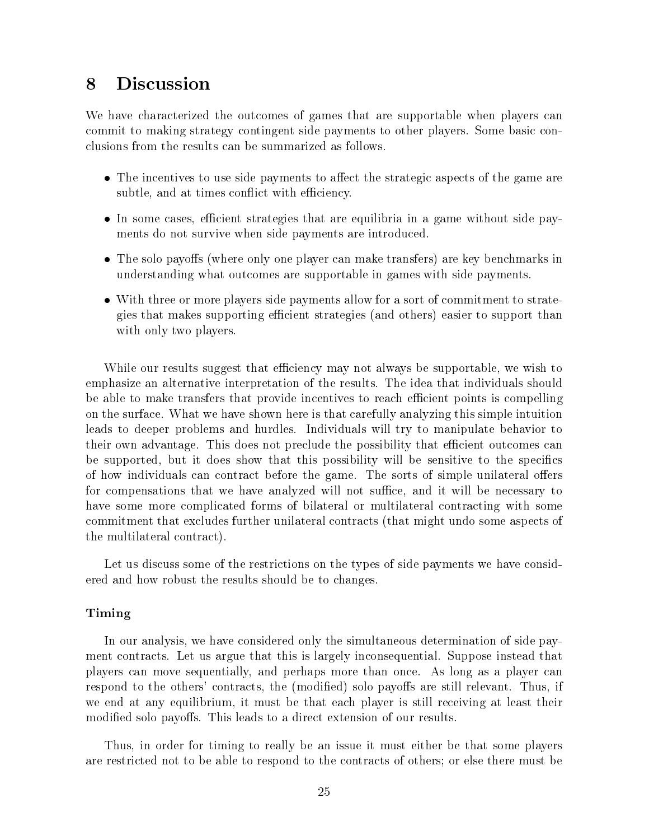#### **Discussion** 8

We have characterized the outcomes of games that are supportable when players can commit to making strategy contingent side payments to other players. Some basic conclusions from the results can be summarized as follows.

- $\bullet$  The incentives to use side payments to affect the strategic aspects of the game are subtle, and at times conflict with efficiency.
- $\bullet$  In some cases, emclent strategies that are equilibria in a game without side payments do not survive when side payments are introduced.
- $\bullet$  The solo payoffs (where only one player can make transfers) are key benchmarks in understanding what outcomes are supportable in games with side payments.
- With three or more players side payments allow for a sort of commitment to strategies that makes supporting efficient strategies (and others) easier to support than with only two players.

While our results suggest that efficiency may not always be supportable, we wish to emphasize an alternative interpretation of the results. The idea that individuals should be able to make transfers that provide incentives to reach efficient points is compelling on the surface. What we have shown here is that carefully analyzing this simple intuition leads to deeper problems and hurdles. Individuals will try to manipulate behavior to their own advantage. This does not preclude the possibility that efficient outcomes can be supported, but it does show that this possibility will be sensitive to the specifics of how individuals can contract before the game. The sorts of simple unilateral offers for compensations that we have analyzed will not suffice, and it will be necessary to have some more complicated forms of bilateral or multilateral contracting with some commitment that excludes further unilateral contracts (that might undo some aspects of the multilateral contract).

Let us discuss some of the restrictions on the types of side payments we have considered and how robust the results should be to changes.

## Timing

In our analysis, we have considered only the simultaneous determination of side payment contracts. Let us argue that this is largely inconsequential. Suppose instead that players can move sequentially, and perhaps more than once. As long as a player can respond to the others' contracts, the (modified) solo payoffs are still relevant. Thus, if we end at any equilibrium, it must be that each player is still receiving at least their modified solo payoffs. This leads to a direct extension of our results.

Thus, in order for timing to really be an issue it must either be that some players are restricted not to be able to respond to the contracts of others; or else there must be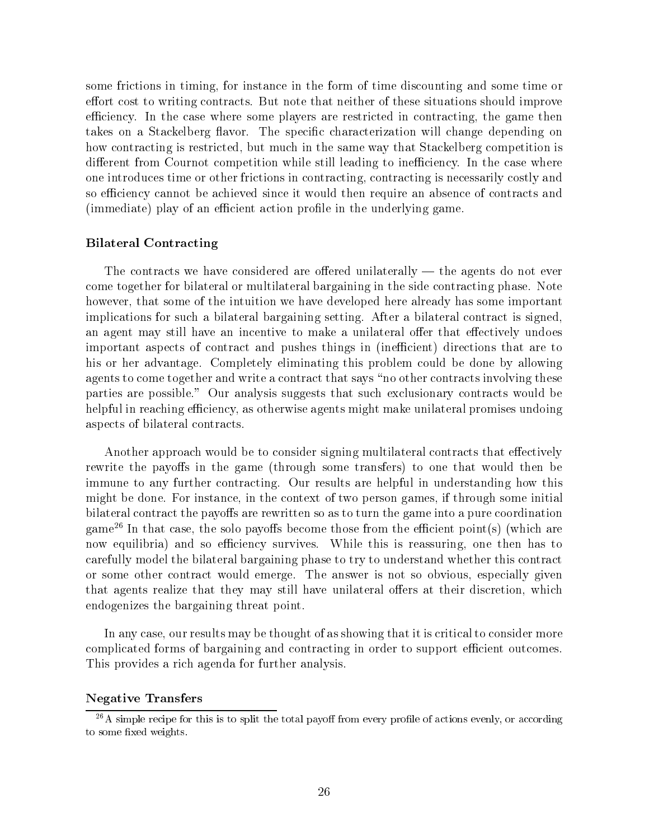some frictions in timing, for instance in the form of time discounting and some time or effort cost to writing contracts. But note that neither of these situations should improve efficiency. In the case where some players are restricted in contracting, the game then takes on a Stackelberg flavor. The specific characterization will change depending on how contracting is restricted, but much in the same way that Stackelberg competition is different from Cournot competition while still leading to inefficiency. In the case where one introduces time or other frictions in contracting, contracting is necessarily costly and so efficiency cannot be achieved since it would then require an absence of contracts and (immediate) play of an efficient action profile in the underlying game.

#### Bilateral Contracting

The contracts we have considered are offered unilaterally — the agents do not ever come together for bilateral or multilateral bargaining in the side contracting phase. Note however, that some of the intuition we have developed here already has some important implications for such a bilateral bargaining setting. After a bilateral contract is signed, an agent may still have an incentive to make a unilateral offer that effectively undoes important aspects of contract and pushes things in (inefficient) directions that are to his or her advantage. Completely eliminating this problem could be done by allowing agents to come together and write a contract that says "no other contracts involving these parties are possible." Our analysis suggests that such exclusionary contracts would be helpful in reaching efficiency, as otherwise agents might make unilateral promises undoing aspects of bilateral contracts.

Another approach would be to consider signing multilateral contracts that effectively rewrite the payoffs in the game (through some transfers) to one that would then be immune to any further contracting. Our results are helpful in understanding how this might be done. For instance, in the context of two person games, if through some initial bilateral contract the payoffs are rewritten so as to turn the game into a pure coordination game<sup>26</sup> In that case, the solo payoffs become those from the efficient point(s) (which are now equilibria) and so efficiency survives. While this is reassuring, one then has to carefully model the bilateral bargaining phase to try to understand whether this contract or some other contract would emerge. The answer is not so obvious, especially given that agents realize that they may still have unilateral offers at their discretion, which endogenizes the bargaining threat point.

In any case, our results may be thought of as showing that it is critical to consider more complicated forms of bargaining and contracting in order to support efficient outcomes. This provides a rich agenda for further analysis.

#### Negative Transfers

 $^{26}$ A simple recipe for this is to split the total payoff from every profile of actions evenly, or according to some fixed weights.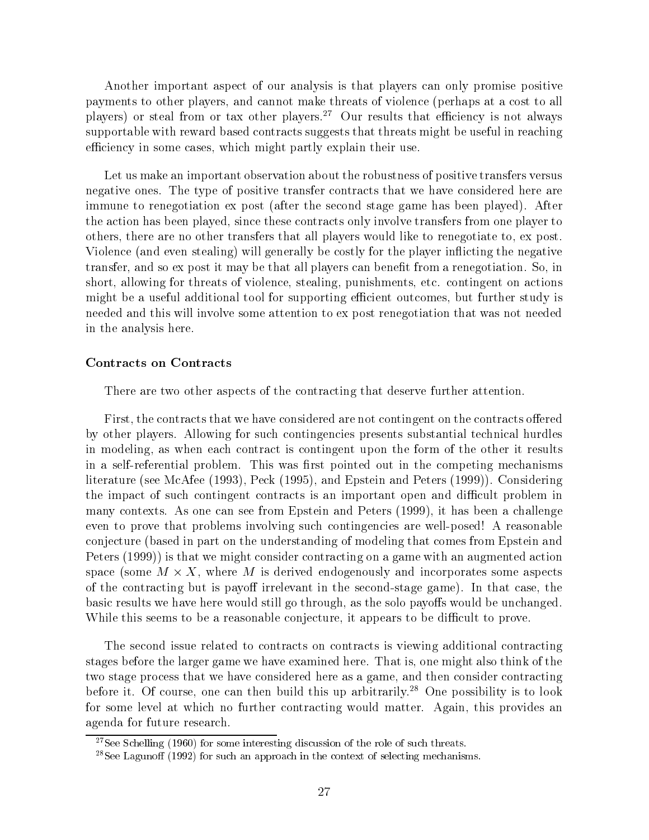Another important aspect of our analysis is that players can only promise positive payments to other players, and cannot make threats of violence (perhaps at a cost to all players) or steal from or tax other players.<sup>27</sup> Our results that efficiency is not always supportable with reward based contracts suggests that threats might be useful in reaching efficiency in some cases, which might partly explain their use.

Let us make an important observation about the robustness of positive transfers versus negative ones. The type of positive transfer contracts that we have considered here are immune to renegotiation ex post (after the second stage game has been played). After the action has been played, since these contracts only involve transfers from one player to others, there are no other transfers that all players would like to renegotiate to, ex post. Violence (and even stealing) will generally be costly for the player inflicting the negative transfer, and so ex post it may be that all players can benefit from a renegotiation. So, in short, allowing for threats of violence, stealing, punishments, etc. contingent on actions might be a useful additional tool for supporting efficient outcomes, but further study is needed and this will involve some attention to ex post renegotiation that was not needed in the analysis here.

#### Contracts on Contracts

There are two other aspects of the contracting that deserve further attention.

First, the contracts that we have considered are not contingent on the contracts offered by other players. Allowing for such contingencies presents substantial technical hurdles in modeling, as when each contract is contingent upon the form of the other it results in a self-referential problem. This was first pointed out in the competing mechanisms literature (see McAfee (1993), Peck (1995), and Epstein and Peters (1999)). Considering the impact of such contingent contracts is an important open and difficult problem in many contexts. As one can see from Epstein and Peters (1999), it has been a challenge even to prove that problems involving such contingencies are well-posed! A reasonable conjecture (based in part on the understanding of modeling that comes from Epstein and Peters (1999)) is that we might consider contracting on a game with an augmented action space (some  $M \times X$ , where  $M$  is derived endogenously and incorporates some aspects of the contracting but is payoff irrelevant in the second-stage game). In that case, the basic results we have here would still go through, as the solo payoffs would be unchanged. While this seems to be a reasonable conjecture, it appears to be difficult to prove.

The second issue related to contracts on contracts is viewing additional contracting stages before the larger game we have examined here. That is, one might also think of the two stage process that we have considered here as a game, and then consider contracting before it. Of course, one can then build this up arbitrarily.<sup>28</sup> One possibility is to look for some level at which no further contracting would matter. Again, this provides an agenda for future research.

 $^{27}$ See Schelling (1960) for some interesting discussion of the role of such threats.

<sup>&</sup>lt;sup>28</sup>See Lagunoff (1992) for such an approach in the context of selecting mechanisms.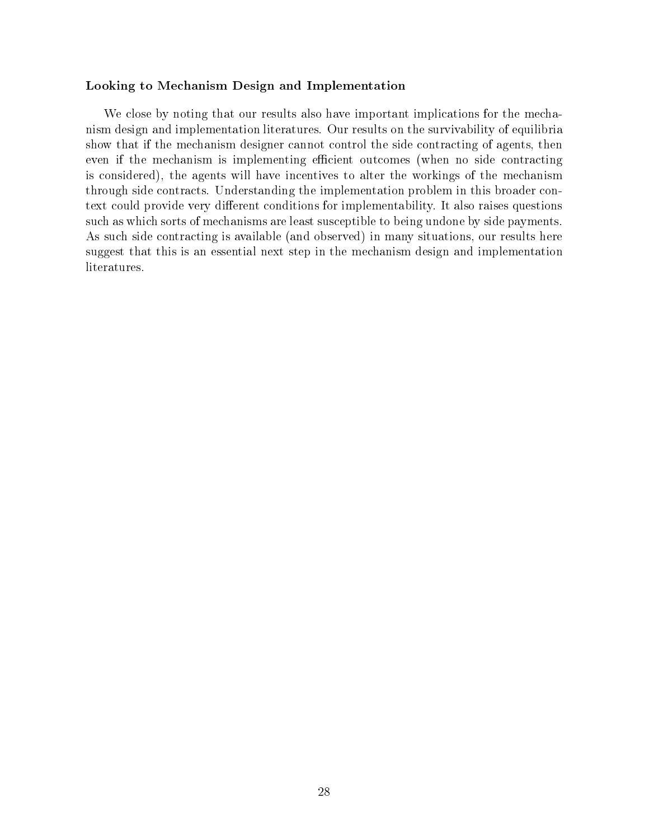#### Looking to Mechanism Design and Implementation

We close by noting that our results also have important implications for the mechanism design and implementation literatures. Our results on the survivability of equilibria show that if the mechanism designer cannot control the side contracting of agents, then even if the mechanism is implementing efficient outcomes (when no side contracting is considered), the agents will have incentives to alter the workings of the mechanism through side contracts. Understanding the implementation problem in this broader context could provide very different conditions for implementability. It also raises questions such as which sorts of mechanisms are least susceptible to being undone by side payments. As such side contracting is available (and observed) in many situations, our results here suggest that this is an essential next step in the mechanism design and implementation literatures.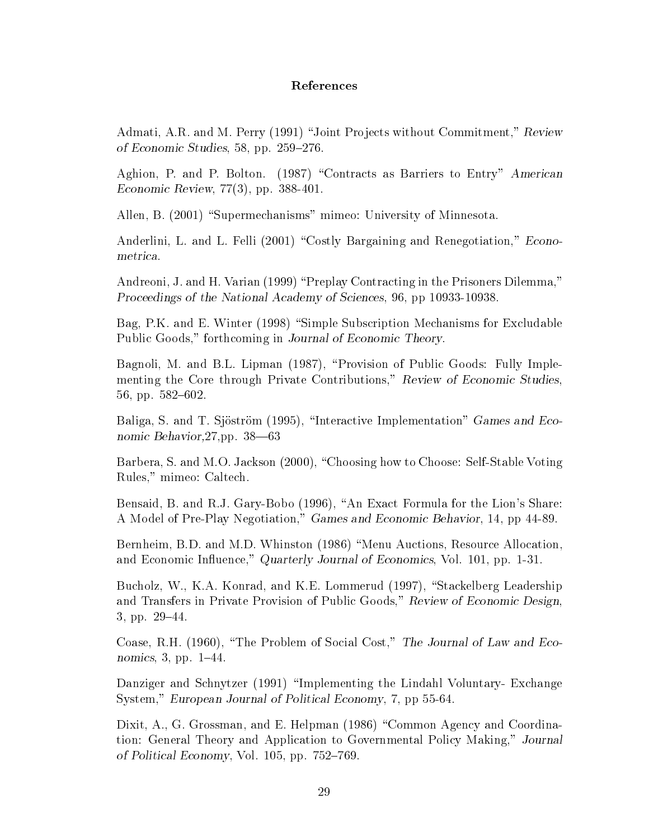#### References

Admati, A.R. and M. Perry (1991) "Joint Projects without Commitment," Review of Economic Studies, 58, pp.  $259-276$ .

Aghion, P. and P. Bolton. (1987) "Contracts as Barriers to Entry" American Economic Review, 77(3), pp. 388-401.

Allen, B. (2001) "Supermechanisms" mimeo: University of Minnesota.

Anderlini, L. and L. Felli (2001) "Costly Bargaining and Renegotiation," Econometrica.

Andreoni, J. and H. Varian (1999) \Preplay Contracting in the Prisoners Dilemma," Proceedings of the National Academy of Sciences, 96, pp 10933-10938.

Bag, P.K. and E. Winter (1998) "Simple Subscription Mechanisms for Excludable Public Goods," forthcoming in Journal of Economic Theory.

Bagnoli, M. and B.L. Lipman (1987), \Provision of Public Goods: Fully Implementing the Core through Private Contributions," Review of Economic Studies,  $56$ , pp.  $582{-}602$ .

Baliga, S. and T. Sjöström (1995), "Interactive Implementation" Games and Economic Behavior, 27, pp. 38-63

Barbera, S. and M.O. Jackson (2000), "Choosing how to Choose: Self-Stable Voting Rules," mimeo: Caltech.

Bensaid, B. and R.J. Gary-Bobo (1996), "An Exact Formula for the Lion's Share: A Model of Pre-Play Negotiation," Games and Economic Behavior, 14, pp 44-89.

Bernheim, B.D. and M.D. Whinston (1986) \Menu Auctions, Resource Allocation, and Economic Influence," Quarterly Journal of Economics, Vol. 101, pp. 1-31.

Bucholz, W., K.A. Konrad, and K.E. Lommerud (1997), "Stackelberg Leadership and Transfers in Private Provision of Public Goods," Review of Economic Design,  $3, pp. 29-44.$ 

Coase, R.H. (1960), "The Problem of Social Cost," The Journal of Law and Economics, 3, pp. 1–44.

Danziger and Schnytzer (1991) "Implementing the Lindahl Voluntary- Exchange System," European Journal of Political Economy, 7, pp 55-64.

Dixit, A., G. Grossman, and E. Helpman (1986) "Common Agency and Coordination: General Theory and Application to Governmental Policy Making," Journal of Political Economy, Vol.  $105$ , pp.  $752-769$ .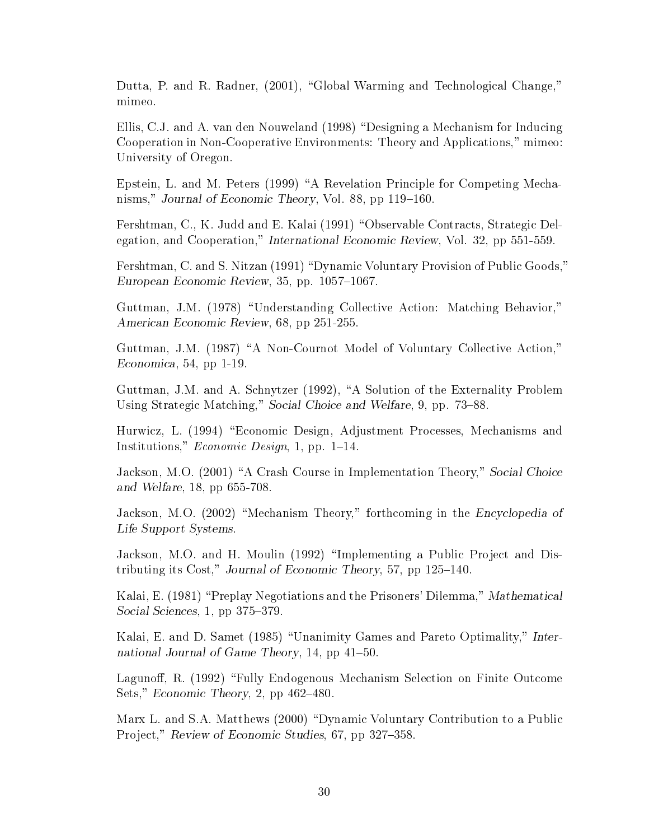Dutta, P. and R. Radner, (2001), "Global Warming and Technological Change," mimeo.

Ellis, C.J. and A. van den Nouweland (1998) \Designing a Mechanism for Inducing Cooperation in Non-Cooperative Environments: Theory and Applications," mimeo: University of Oregon.

Epstein, L. and M. Peters (1999) "A Revelation Principle for Competing Mechanisms," Journal of Economic Theory, Vol. 88, pp 119–160.

Fershtman, C., K. Judd and E. Kalai (1991) "Observable Contracts, Strategic Delegation, and Cooperation," International Economic Review, Vol. 32, pp 551-559.

Fershtman, C. and S. Nitzan (1991) "Dynamic Voluntary Provision of Public Goods," European Economic Review,  $35$ , pp.  $1057-1067$ .

Guttman, J.M. (1978) "Understanding Collective Action: Matching Behavior," American Economic Review, 68, pp 251-255.

Guttman, J.M. (1987) "A Non-Cournot Model of Voluntary Collective Action," Economica, 54, pp 1-19.

Guttman, J.M. and A. Schnytzer (1992), "A Solution of the Externality Problem Using Strategic Matching," Social Choice and Welfare, 9, pp. 73-88.

Hurwicz, L. (1994) "Economic Design, Adjustment Processes, Mechanisms and Institutions," *Economic Design*, 1, pp.  $1-14$ .

Jackson, M.O. (2001) "A Crash Course in Implementation Theory," Social Choice and Welfare, 18, pp 655-708.

Jackson, M.O. (2002) "Mechanism Theory," forthcoming in the Encyclopedia of Life Support Systems.

Jackson, M.O. and H. Moulin (1992) "Implementing a Public Project and Distributing its Cost," Journal of Economic Theory, 57, pp  $125{\text -}140$ .

Kalai, E. (1981) "Preplay Negotiations and the Prisoners' Dilemma," Mathematical Social Sciences,  $1$ , pp  $375-379$ .

Kalai, E. and D. Samet (1985) "Unanimity Games and Pareto Optimality," International Journal of Game Theory,  $14$ , pp  $41–50$ .

Lagunoff, R. (1992) "Fully Endogenous Mechanism Selection on Finite Outcome Sets," Economic Theory, 2, pp  $462-480$ .

Marx L. and S.A. Matthews (2000) "Dynamic Voluntary Contribution to a Public Project," Review of Economic Studies, 67, pp 327-358.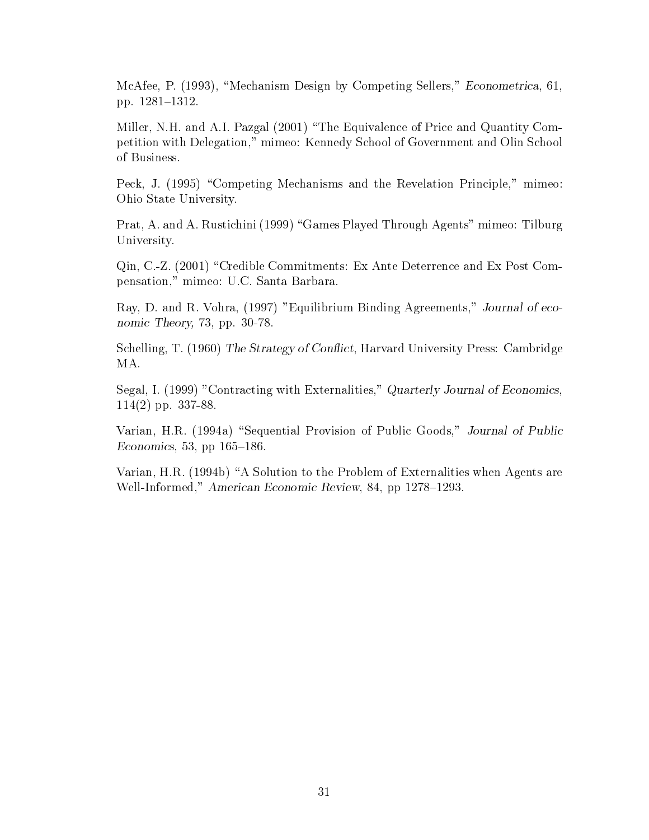McAfee, P. (1993), "Mechanism Design by Competing Sellers," Econometrica, 61, pp. 1281-1312.

Miller, N.H. and A.I. Pazgal (2001) "The Equivalence of Price and Quantity Competition with Delegation," mimeo: Kennedy School of Government and Olin School of Business.

Peck, J. (1995) "Competing Mechanisms and the Revelation Principle," mimeo: Ohio State University.

Prat, A. and A. Rustichini (1999) "Games Played Through Agents" mimeo: Tilburg University.

Qin, C.-Z. (2001) "Credible Commitments: Ex Ante Deterrence and Ex Post Compensation," mimeo: U.C. Santa Barbara.

Ray, D. and R. Vohra, (1997) "Equilibrium Binding Agreements," Journal of economic Theory, 73, pp. 30-78.

Schelling, T. (1960) The Strategy of Conflict, Harvard University Press: Cambridge MA.

Segal, I. (1999) "Contracting with Externalities," Quarterly Journal of Economics, 114(2) pp. 337-88.

Varian, H.R. (1994a) "Sequential Provision of Public Goods," Journal of Public Economics, 53, pp  $165-186$ .

Varian, H.R. (1994b) "A Solution to the Problem of Externalities when Agents are Well-Informed," American Economic Review, 84, pp 1278-1293.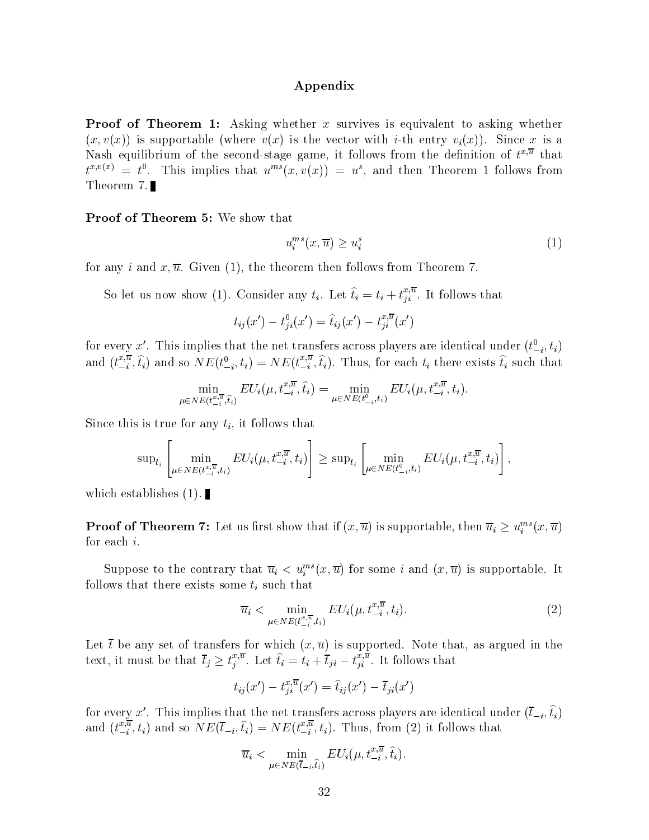#### Appendix

**Proof of Theorem 1:** Asking whether x survives is equivalent to asking whether  $(x, v(x))$  is supportable (where  $v(x)$  is the vector with *i*-th entry  $v_i(x)$ ). Since x is a Ivash equilibrium of the second-stage game, it follows from the definition of  $U^{\gamma,\gamma}$  that  $\iota^{+,-,-} = \iota$ . This implies that  $u^{-}(x,v(x)) = u$ , and then Theorem 1 follows from Theorem 7.

#### Proof of Theorem 5: We show that

$$
u_i^{ms}(x,\overline{u}) \ge u_i^s \tag{1}
$$

for any i and  $x, \overline{u}$ . Given (1), the theorem then follows from Theorem 7.

So let us now show (1). Consider any  $t_i$ . Let  $t_i = t_i + t_{ii}$ . It follows that

$$
t_{ij}(x') - t_{ji}^0(x') = \hat{t}_{ij}(x') - t_{ji}^{\pi,\overline{u}}(x')
$$

for every  $x$  . This implies that the net transfers across players are identical under  $(\iota_{-i}^*,\iota_i)$ and  $(t_{-i}^-, t_i)$  and so  $N E(t_{-i}^-, t_i) = N E(t_{-i}^-, t_i)$ . Thus, for each  $t_i$  there exists  $t_i$  such that

$$
\min_{\mu \in NE(t_{-i}^{x,\overline{u}},\widehat{t}_i)} EU_i(\mu,t_{-i}^{x,\overline{u}},\widehat{t}_i) = \min_{\mu \in NE(t_{-i}^0,t_i)} EU_i(\mu,t_{-i}^{x,\overline{u}},t_i).
$$

Since this is true for any  $t_i$ , it follows that

$$
\mathrm{sup}_{t_i}\left[\min_{\mu\in NE(t_{-i}^{x,\overline{u}},t_i)} EU_i(\mu,t_{-i}^{x,\overline{u}},t_i)\right]\geq \mathrm{sup}_{t_i}\left[\min_{\mu\in NE(t_{-i}^0,t_i)} EU_i(\mu,t_{-i}^{x,\overline{u}},t_i)\right],
$$

which establishes  $(1)$ .

**Proof of Theorem 7:** Let us first show that if  $(x, \overline{u})$  is supportable, then  $\overline{u}_i \geq u_i^{ms}(x, \overline{u})$ for each i.

Suppose to the contrary that  $u_i \leq u_i^{r-1}(x, u)$  for some t and  $(x, u)$  is supportable. It follows that there exists some  $t_i$  such that

$$
\overline{u}_i < \min_{\mu \in NE(t_{-i}^{x,\overline{u}}, t_i)} EU_i(\mu, t_{-i}^{x,\overline{u}}, t_i). \tag{2}
$$

text, it must be that  $\overline{t}_j \ge t_i^{\overline{x},\overline{u}}$ . Let  $\hat{t}_i = t_i + \overline{t}_{ji} - t_{ji}^{\overline{x},\overline{u}}$ . It follows that

$$
t_{ij}(x') - t_{ji}^{x,\overline{u}}(x') = \hat{t}_{ij}(x') - \overline{t}_{ji}(x')
$$

for every  $x$  . This implies that the net transfers across players are identical under  $(t_{-i}, t_i)$ and  $(t_{i}^{T}, t_{i})$  and so  $N E(t_{i}, t_{i}) = N E(t_{i}^{T}, t_{i}).$  Thus, from (2) it follows that

$$
\overline{u}_i < \min_{\mu \in NE(\overline{t}_{-i}, \widehat{t}_i)} EU_i(\mu, t_{-i}^{x, \overline{u}}, \widehat{t}_i).
$$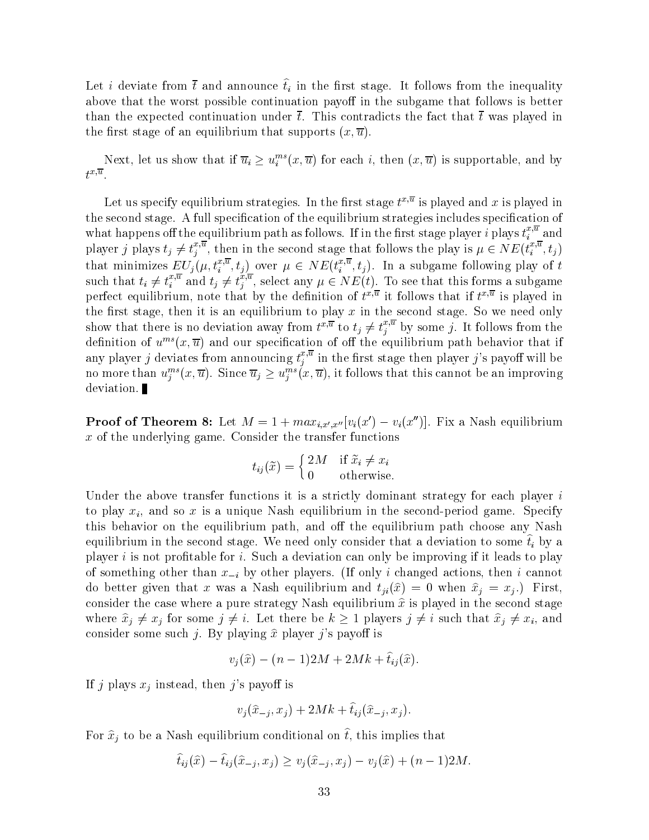Let but include the the and announce  $v_i$  in the mot stage. It follows from the inequality above that the worst possible continuation payoff in the subgame that follows is better than the expected continuation under  $\bar{t}$ . This contradicts the fact that  $\bar{t}$  was played in the first stage of an equilibrium that supports  $(x,\overline{u})$ .

Next, let us show that if  $\overline{u}_i \geq u_i^{ms}(x, \overline{u})$  for each i, then  $(x, \overline{u})$  is supportable, and by  $t^{x,\overline{u}}.$ 

Let us specify equilibrium strategies. In the first stage  $t^{x,\overline{u}}$  is played and  $x$  is played in the second stage. A full specification of the equilibrium strategies includes specification of what happens off the equilibrium path as follows. If in the first stage player  $i$  plays  $t_i^{x,\overline{u}}$  and player j plays  $t_j \neq t_i^{x,\overline{u}}$ , then in the second stage that follows the play is  $\mu \in NE(t_i^{x,\overline{u}}, t_j)$ that minimizes  $EU_j(\mu, t_i^{*,*}, t_j)$  over  $\mu \in NE(t_i^{*,*}, t_j)$ . In a subgame following play of t<br>such that  $t_i \neq t_i^{x,\overline{u}}$  and  $t_j \neq t_j^{x,\overline{u}}$ , select any  $\mu \in NE(t)$ . To see that this forms a subgame perfect equilibrium, note that by the definition of  $t^{n+1}$  it follows that if  $t^{n+1}$  is played in the first stage, then it is an equilibrium to play x in the second stage. So we need only show that there is no deviation away from  $t^{x,u}$  to  $t_i \neq t_i^{u,u}$  by some  $j$  by some j. It follows from the theory from the source  $j$ definition of  $u^{++}(x,u)$  and our specification of on the equilibrium path behavior that if any player j deviates from announcing  $t_i^{x,u}$  in the first stage then player j's payoff will be no more than  $u_i^{ms}(x,\overline{u})$ . Since  $\overline{u}_i \geq u_i^{ms}(x,\overline{u})$ , it follows that this cannot be an improving deviation.

**Proof of Theorem 8:** Let  $M = 1 + max_{i,x',x''}[v_i(x') - v_i(x'')]$ . Fix a Nash equilibrium  $x$  of the underlying game. Consider the transfer functions

$$
t_{ij}(\widetilde{x}) = \begin{cases} 2M & \text{if } \widetilde{x}_i \neq x_i \\ 0 & \text{otherwise.} \end{cases}
$$

Under the above transfer functions it is a strictly dominant strategy for each player  $i$ to play  $x_i$ , and so x is a unique Nash equilibrium in the second-period game. Specify this behavior on the equilibrium path, and off the equilibrium path choose any Nash equilibrium in the second stage. We need only consider that a deviation to some  $\iota_i$  by a player  $i$  is not profitable for  $i$ . Such a deviation can only be improving if it leads to play of something other than  $x_{-i}$  by other players. (If only i changed actions, then i cannot do better given that x was a Nash equilibrium and  $t_{ji}(\hat{x}) = 0$  when  $\hat{x}_j = x_j$ .) First, consider the case where a pure strategy Nash equilibrium  $\hat{x}$  is played in the second stage where  $\hat{x}_j \neq x_j$  for some  $j \neq i$ . Let there be  $k \geq 1$  players  $j \neq i$  such that  $\hat{x}_j \neq x_i$ , and consider some such j. By playing  $\hat{x}$  player j's payoff is

$$
v_i(\hat{x}) - (n-1)2M + 2Mk + \hat{t}_{ij}(\hat{x}).
$$

If j plays  $x_j$  instead, then j's payoff is

$$
v_j(\widehat{x}_{-j}, x_j) + 2Mk + \widehat{t}_{ij}(\widehat{x}_{-j}, x_j).
$$

For  $x_j$  to be a trash equilibrium conditional on b, this implies that

$$
\hat{t}_{ij}(\hat{x}) - \hat{t}_{ij}(\hat{x}_{-j}, x_j) \ge v_j(\hat{x}_{-j}, x_j) - v_j(\hat{x}) + (n-1)2M.
$$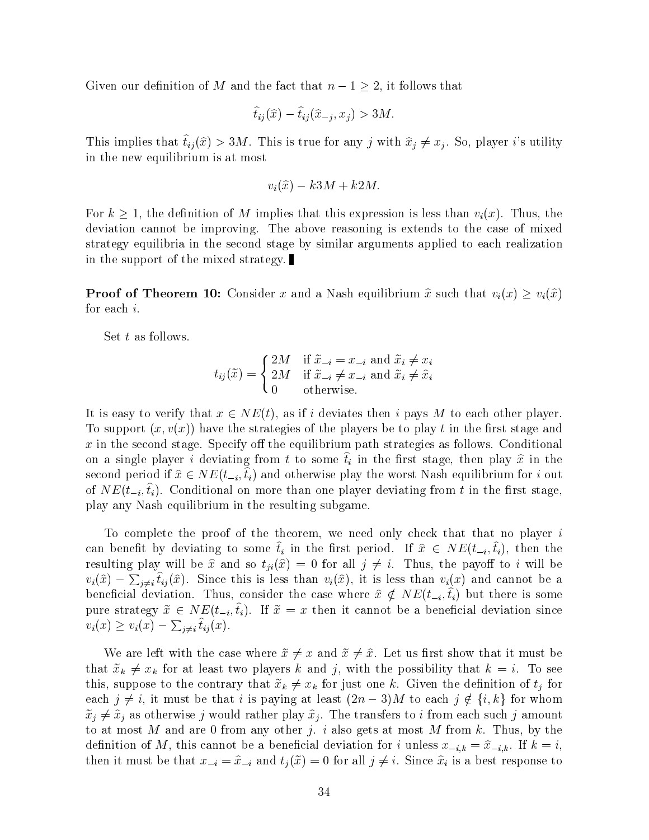Given our definition of M and the fact that  $n-1 \geq 2$ , it follows that

$$
\hat{t}_{ij}(\hat{x}) - \hat{t}_{ij}(\hat{x}_{-i}, x_i) > 3M.
$$

This implies that  $t_{ij}(\hat{x}) > 3M$ . This is true for any j with  $\hat{x}_i \neq x_i$ . So, player i's utility in the new equilibrium is at most

$$
v_i(\hat{x}) - k3M + k2M.
$$

For  $k \geq 1$ , the definition of M implies that this expression is less than  $v_i(x)$ . Thus, the deviation cannot be improving. The above reasoning is extends to the case of mixed strategy equilibria in the second stage by similar arguments applied to each realization in the support of the mixed strategy.

**Proof of Theorem 10:** Consider x and a Nash equilibrium  $\hat{x}$  such that  $v_i(x) \ge v_i(\hat{x})$ for each i.

Set t as follows.

$$
t_{ij}(\tilde{x}) = \begin{cases} 2M & \text{if } \tilde{x}_{-i} = x_{-i} \text{ and } \tilde{x}_i \neq x_i \\ 2M & \text{if } \tilde{x}_{-i} \neq x_{-i} \text{ and } \tilde{x}_i \neq \hat{x}_i \\ 0 & \text{otherwise.} \end{cases}
$$

It is easy to verify that  $x \in NE(t)$ , as if i deviates then i pays M to each other player. To support  $(x, v(x))$  have the strategies of the players be to play t in the first stage and  $x$  in the second stage. Specify off the equilibrium path strategies as follows. Conditional on a single player  $\iota$  deviating from  $\iota$  to some  $\iota_i$  in the mst stage, then play  $\iota$  in the second period if  $x \in NE(t_{-i}, t_i)$  and otherwise play the worst Nash equilibrium for  $i$  out of ty  $E(t_{i},t_{i})$ . Conditional on more than one player deviating from t in the mst stage, play any Nash equilibrium in the resulting subgame.

To complete the proof of the theorem, we need only check that that no player  $i$ can benefit by deviating to some  $t_i$  in the first period. If  $x \in NE(t_{-i}, t_i)$ , then the resulting play will be  $\hat{x}$  and so  $t_{ji}(\hat{x}) = 0$  for all  $j \neq i$ . Thus, the payoff to i will be  $v_i(\hat{x}) - \sum_{j \neq i} t_{ij}(\hat{x})$ . Since this is less than  $v_i(\hat{x})$ , it is less than  $v_i(x)$  and cannot be a beneficial deviation. Thus, consider the case where  $x \notin NE(t_{i}, t_{i})$  but there is some pure strategy  $x \in NE(t_{-i}, t_i)$ . If  $x = x$  then it cannot be a beneficial deviation since  $v_i(x) \ge v_i(x) - \sum_{j \neq i} t_{ij}(x).$ 

We are left with the case where  $\tilde{x} \neq x$  and  $\tilde{x} \neq \tilde{x}$ . Let us first show that it must be that  $\tilde{x}_k \neq x_k$  for at least two players k and j, with the possibility that  $k = i$ . To see this, suppose to the contrary that  $\tilde{x}_k \neq x_k$  for just one k. Given the definition of  $t_i$  for each  $j \neq i$ , it must be that i is paying at least  $(2n - 3)M$  to each  $j \notin \{i, k\}$  for whom  $\tilde{x}_j \neq \hat{x}_j$  as otherwise j would rather play  $\hat{x}_j$ . The transfers to i from each such j amount to at most M and are 0 from any other j. i also gets at most M from k. Thus, by the definition of M, this cannot be a beneficial deviation for i unless  $x_{-i,k} = \hat{x}_{-i,k}$ . If  $k = i$ , then it must be that  $x_{-i} = \hat{x}_{-i}$  and  $t_j(\tilde{x}) = 0$  for all  $j \neq i$ . Since  $\hat{x}_i$  is a best response to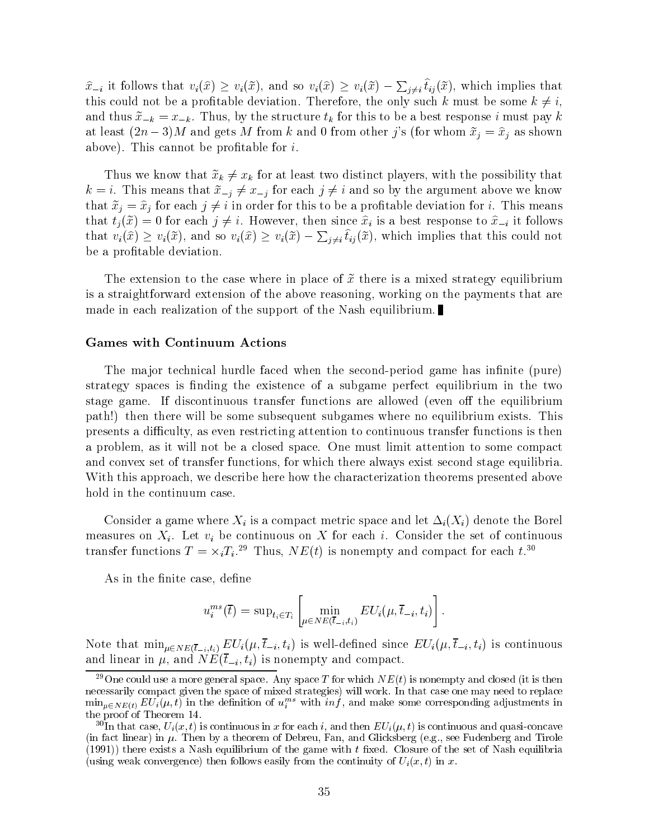$\hat{x}_{-i}$  it follows that  $v_i(\hat{x}) \ge v_i(\tilde{x})$ , and so  $v_i(\hat{x}) \ge v_i(\tilde{x}) - \sum_{i \ne i} t_{ij}(\tilde{x})$ , which implies that this could not be a profitable deviation. Therefore, the only such k must be some  $k \neq i$ , and thus  $\tilde{x}_{-k} = x_{-k}$ . Thus, by the structure  $t_k$  for this to be a best response i must pay k at least  $(2n-3)M$  and gets M from k and 0 from other j's (for whom  $\tilde{x}_j = \hat{x}_j$  as shown above). This cannot be profitable for  $i$ .

Thus we know that  $\tilde{x}_k \neq x_k$  for at least two distinct players, with the possibility that  $k = i$ . This means that  $\tilde{x}_{-i} \neq x_{-i}$  for each  $j \neq i$  and so by the argument above we know that  $\tilde{x}_i = \hat{x}_i$  for each  $j \neq i$  in order for this to be a profitable deviation for i. This means that  $t_i(\tilde{x})=0$  for each  $j \neq i$ . However, then since  $\hat{x}_i$  is a best response to  $\hat{x}_{-i}$  it follows that  $v_i(\hat{x}) \ge v_i(\tilde{x})$ , and so  $v_i(\hat{x}) \ge v_i(\tilde{x}) - \sum_{j \ne i} t_{ij}(\tilde{x})$ , which implies that this could not be a profitable deviation.

The extension to the case where in place of  $\tilde{x}$  there is a mixed strategy equilibrium is a straightforward extension of the above reasoning, working on the payments that are made in each realization of the support of the Nash equilibrium.

#### Games with Continuum Actions

The major technical hurdle faced when the second-period game has infinite (pure) strategy spaces is finding the existence of a subgame perfect equilibrium in the two stage game. If discontinuous transfer functions are allowed (even off the equilibrium path!) then there will be some subsequent subgames where no equilibrium exists. This presents a difficulty, as even restricting attention to continuous transfer functions is then a problem, as it will not be a closed space. One must limit attention to some compact and convex set of transfer functions, for which there always exist second stage equilibria. With this approach, we describe here how the characterization theorems presented above hold in the continuum case.

Consider a game where  $X_i$  is a compact metric space and let  $\Delta_i(X_i)$  denote the Borel measures on  $X_i$ . Let  $v_i$  be continuous on X for each i. Consider the set of continuous transfer functions  $T = \times_i T_i$ .<sup>25</sup> Thus,  $N E(t)$  is nonempty and compact for each t.<sup>30</sup>

As in the finite case, define

$$
u^{ms}_i(\overline{t})=\text{sup}_{t_i\in T_i}\left[\min_{\mu\in NE(\overline{t}_{-i},t_i)} EU_i(\mu,\overline{t}_{-i},t_i)\right].
$$

Note that  $\min_{\mu \in NE(\bar{t}_{-i}, t_i)} EU_i(\mu, \bar{t}_{-i}, t_i)$  is well-defined since  $EU_i(\mu, \bar{t}_{-i}, t_i)$  is continuous and linear in  $\mu$ , and  $NE(\bar{t}_{-i}, t_i)$  is nonempty and compact.

<sup>&</sup>lt;sup>29</sup>One could use a more general space. Any space T for which  $NE(t)$  is nonempty and closed (it is then necessarily compact given the space of mixed strategies) will work. In that case one may need to replace  $\min_{\mu \in NE(t)} EU_i(\mu, t)$  in the definition of  $u_i^{n+1}$  with  $n \eta$ , and make some corresponding adjustments in the proof of Theorem 14.

 ${}^{30}$ In that case,  $U_i(x, t)$  is continuous in x for each i, and then  $EU_i(\mu, t)$  is continuous and quasi-concave (in fact linear) in  $\mu$ . Then by a theorem of Debreu, Fan, and Glicksberg (e.g., see Fudenberg and Tirole  $(1991)$ ) there exists a Nash equilibrium of the game with t fixed. Closure of the set of Nash equilibria (using weak convergence) then follows easily from the continuity of  $U_i(x, t)$  in x.